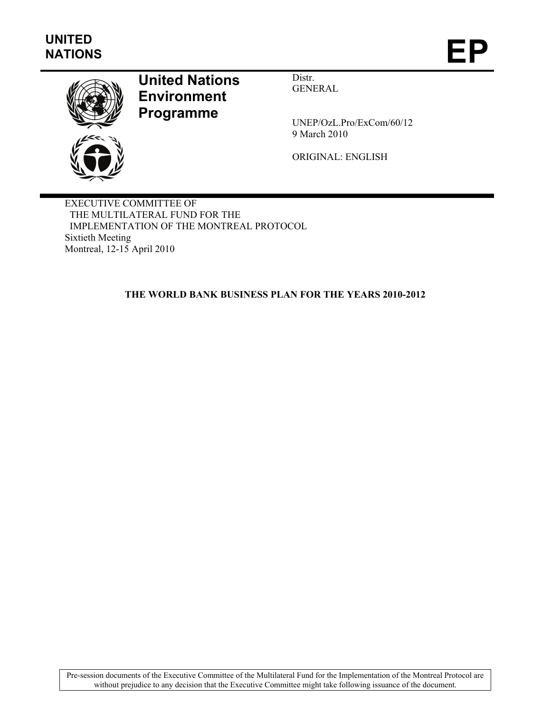

# **United Nations Environment Programme**

Distr. GENERAL

UNEP/OzL.Pro/ExCom/60/12 9 March 2010

ORIGINAL: ENGLISH

EXECUTIVE COMMITTEE OF THE MULTILATERAL FUND FOR THE IMPLEMENTATION OF THE MONTREAL PROTOCOL Sixtieth Meeting Montreal, 12-15 April 2010

**THE WORLD BANK BUSINESS PLAN FOR THE YEARS 2010-2012** 

Pre-session documents of the Executive Committee of the Multilateral Fund for the Implementation of the Montreal Protocol are without prejudice to any decision that the Executive Committee might take following issuance of the document.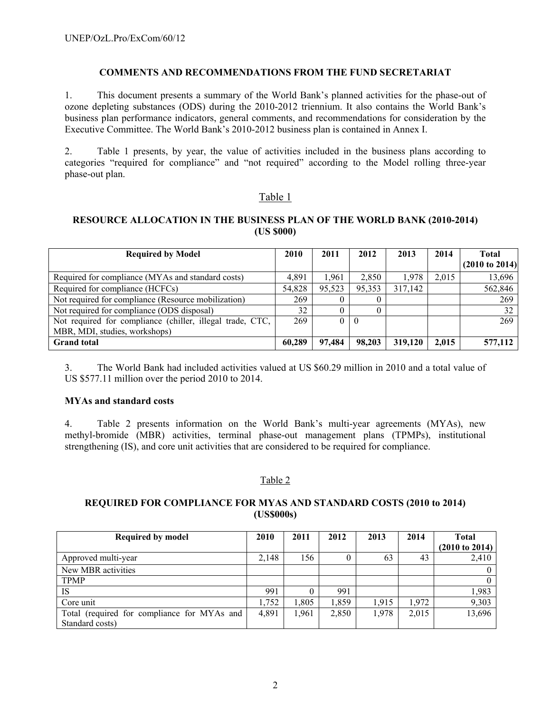#### **COMMENTS AND RECOMMENDATIONS FROM THE FUND SECRETARIAT**

1. This document presents a summary of the World Bank's planned activities for the phase-out of ozone depleting substances (ODS) during the 2010-2012 triennium. It also contains the World Bank's business plan performance indicators, general comments, and recommendations for consideration by the Executive Committee. The World Bank's 2010-2012 business plan is contained in Annex I.

2. Table 1 presents, by year, the value of activities included in the business plans according to categories "required for compliance" and "not required" according to the Model rolling three-year phase-out plan.

# Table 1

# **RESOURCE ALLOCATION IN THE BUSINESS PLAN OF THE WORLD BANK (2010-2014) (US \$000)**

| <b>Required by Model</b>                                  | 2010   | 2011   | 2012      | 2013    | 2014  | Total<br>$(2010 \text{ to } 2014)$ |
|-----------------------------------------------------------|--------|--------|-----------|---------|-------|------------------------------------|
| Required for compliance (MYAs and standard costs)         | 4.891  | 1.961  | 2,850     | 1,978   | 2,015 | 13,696                             |
| Required for compliance (HCFCs)                           | 54,828 | 95.523 | 95.353    | 317,142 |       | 562,846                            |
| Not required for compliance (Resource mobilization)       | 269    |        |           |         |       | 269                                |
| Not required for compliance (ODS disposal)                | 32     |        |           |         |       | 32                                 |
| Not required for compliance (chiller, illegal trade, CTC, | 269    |        | $\Box$ () |         |       | 269                                |
| MBR, MDI, studies, workshops)                             |        |        |           |         |       |                                    |
| <b>Grand</b> total                                        | 60,289 | 97,484 | 98,203    | 319,120 | 2,015 | 577,112                            |

3. The World Bank had included activities valued at US \$60.29 million in 2010 and a total value of US \$577.11 million over the period 2010 to 2014.

#### **MYAs and standard costs**

4. Table 2 presents information on the World Bank's multi-year agreements (MYAs), new methyl-bromide (MBR) activities, terminal phase-out management plans (TPMPs), institutional strengthening (IS), and core unit activities that are considered to be required for compliance.

# Table 2

# **REQUIRED FOR COMPLIANCE FOR MYAS AND STANDARD COSTS (2010 to 2014) (US\$000s)**

| <b>Required by model</b>                    | 2010  | 2011 | 2012  | 2013  | 2014  | Total                     |
|---------------------------------------------|-------|------|-------|-------|-------|---------------------------|
|                                             |       |      |       |       |       | $(2010 \text{ to } 2014)$ |
| Approved multi-year                         | 2,148 | 156  |       | 63    | 43    | 2,410                     |
| New MBR activities                          |       |      |       |       |       |                           |
| <b>TPMP</b>                                 |       |      |       |       |       |                           |
| <b>IS</b>                                   | 991   |      | 991   |       |       | 1,983                     |
| Core unit                                   | .752  | .805 | 1,859 | 1,915 | 1,972 | 9,303                     |
| Total (required for compliance for MYAs and | 4,891 | .961 | 2,850 | 1,978 | 2,015 | 13,696                    |
| Standard costs)                             |       |      |       |       |       |                           |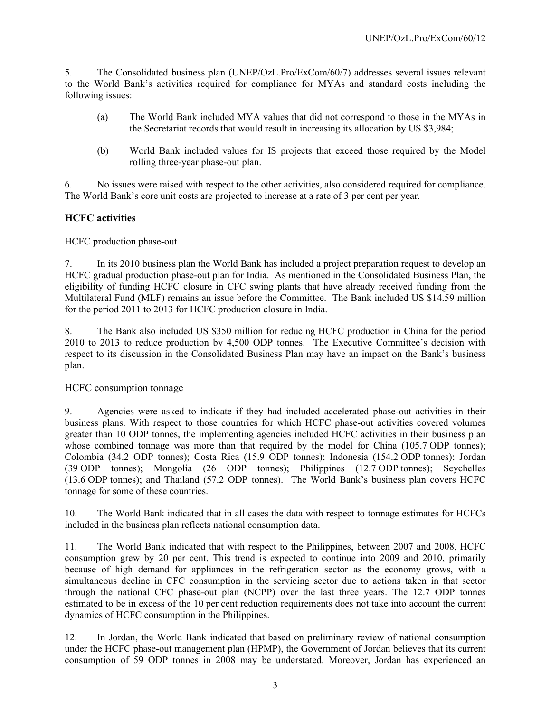5. The Consolidated business plan (UNEP/OzL.Pro/ExCom/60/7) addresses several issues relevant to the World Bank's activities required for compliance for MYAs and standard costs including the following issues:

- (a) The World Bank included MYA values that did not correspond to those in the MYAs in the Secretariat records that would result in increasing its allocation by US \$3,984;
- (b) World Bank included values for IS projects that exceed those required by the Model rolling three-year phase-out plan.

6. No issues were raised with respect to the other activities, also considered required for compliance. The World Bank's core unit costs are projected to increase at a rate of 3 per cent per year.

# **HCFC activities**

#### HCFC production phase-out

7. In its 2010 business plan the World Bank has included a project preparation request to develop an HCFC gradual production phase-out plan for India. As mentioned in the Consolidated Business Plan, the eligibility of funding HCFC closure in CFC swing plants that have already received funding from the Multilateral Fund (MLF) remains an issue before the Committee. The Bank included US \$14.59 million for the period 2011 to 2013 for HCFC production closure in India.

8. The Bank also included US \$350 million for reducing HCFC production in China for the period 2010 to 2013 to reduce production by 4,500 ODP tonnes. The Executive Committee's decision with respect to its discussion in the Consolidated Business Plan may have an impact on the Bank's business plan.

#### HCFC consumption tonnage

9. Agencies were asked to indicate if they had included accelerated phase-out activities in their business plans. With respect to those countries for which HCFC phase-out activities covered volumes greater than 10 ODP tonnes, the implementing agencies included HCFC activities in their business plan whose combined tonnage was more than that required by the model for China (105.7 ODP tonnes); Colombia (34.2 ODP tonnes); Costa Rica (15.9 ODP tonnes); Indonesia (154.2 ODP tonnes); Jordan (39 ODP tonnes); Mongolia (26 ODP tonnes); Philippines (12.7 ODP tonnes); Seychelles (13.6 ODP tonnes); and Thailand (57.2 ODP tonnes). The World Bank's business plan covers HCFC tonnage for some of these countries.

10. The World Bank indicated that in all cases the data with respect to tonnage estimates for HCFCs included in the business plan reflects national consumption data.

11. The World Bank indicated that with respect to the Philippines, between 2007 and 2008, HCFC consumption grew by 20 per cent. This trend is expected to continue into 2009 and 2010, primarily because of high demand for appliances in the refrigeration sector as the economy grows, with a simultaneous decline in CFC consumption in the servicing sector due to actions taken in that sector through the national CFC phase-out plan (NCPP) over the last three years. The 12.7 ODP tonnes estimated to be in excess of the 10 per cent reduction requirements does not take into account the current dynamics of HCFC consumption in the Philippines.

12. In Jordan, the World Bank indicated that based on preliminary review of national consumption under the HCFC phase-out management plan (HPMP), the Government of Jordan believes that its current consumption of 59 ODP tonnes in 2008 may be understated. Moreover, Jordan has experienced an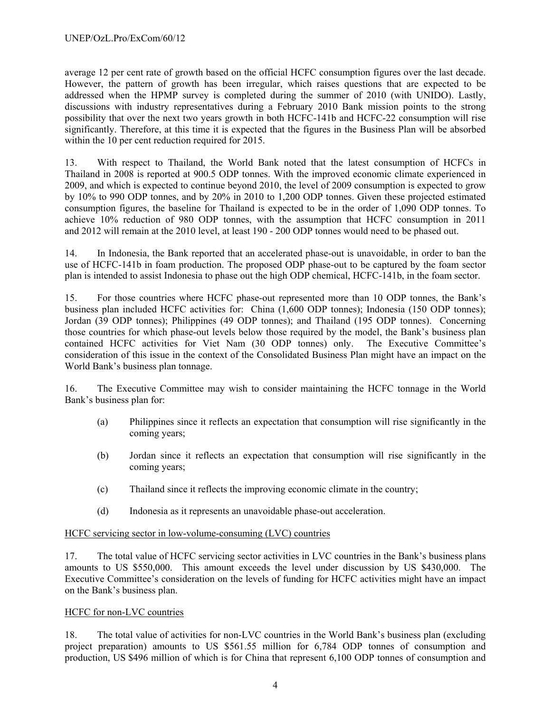average 12 per cent rate of growth based on the official HCFC consumption figures over the last decade. However, the pattern of growth has been irregular, which raises questions that are expected to be addressed when the HPMP survey is completed during the summer of 2010 (with UNIDO). Lastly, discussions with industry representatives during a February 2010 Bank mission points to the strong possibility that over the next two years growth in both HCFC-141b and HCFC-22 consumption will rise significantly. Therefore, at this time it is expected that the figures in the Business Plan will be absorbed within the 10 per cent reduction required for 2015.

13. With respect to Thailand, the World Bank noted that the latest consumption of HCFCs in Thailand in 2008 is reported at 900.5 ODP tonnes. With the improved economic climate experienced in 2009, and which is expected to continue beyond 2010, the level of 2009 consumption is expected to grow by 10% to 990 ODP tonnes, and by 20% in 2010 to 1,200 ODP tonnes. Given these projected estimated consumption figures, the baseline for Thailand is expected to be in the order of 1,090 ODP tonnes. To achieve 10% reduction of 980 ODP tonnes, with the assumption that HCFC consumption in 2011 and 2012 will remain at the 2010 level, at least 190 - 200 ODP tonnes would need to be phased out.

14. In Indonesia, the Bank reported that an accelerated phase-out is unavoidable, in order to ban the use of HCFC-141b in foam production. The proposed ODP phase-out to be captured by the foam sector plan is intended to assist Indonesia to phase out the high ODP chemical, HCFC-141b, in the foam sector.

15. For those countries where HCFC phase-out represented more than 10 ODP tonnes, the Bank's business plan included HCFC activities for: China (1,600 ODP tonnes); Indonesia (150 ODP tonnes); Jordan (39 ODP tonnes); Philippines (49 ODP tonnes); and Thailand (195 ODP tonnes). Concerning those countries for which phase-out levels below those required by the model, the Bank's business plan contained HCFC activities for Viet Nam (30 ODP tonnes) only. The Executive Committee's consideration of this issue in the context of the Consolidated Business Plan might have an impact on the World Bank's business plan tonnage.

16. The Executive Committee may wish to consider maintaining the HCFC tonnage in the World Bank's business plan for:

- (a) Philippines since it reflects an expectation that consumption will rise significantly in the coming years;
- (b) Jordan since it reflects an expectation that consumption will rise significantly in the coming years;
- (c) Thailand since it reflects the improving economic climate in the country;
- (d) Indonesia as it represents an unavoidable phase-out acceleration.

#### HCFC servicing sector in low-volume-consuming (LVC) countries

17. The total value of HCFC servicing sector activities in LVC countries in the Bank's business plans amounts to US \$550,000. This amount exceeds the level under discussion by US \$430,000. The Executive Committee's consideration on the levels of funding for HCFC activities might have an impact on the Bank's business plan.

#### HCFC for non-LVC countries

18. The total value of activities for non-LVC countries in the World Bank's business plan (excluding project preparation) amounts to US \$561.55 million for 6,784 ODP tonnes of consumption and production, US \$496 million of which is for China that represent 6,100 ODP tonnes of consumption and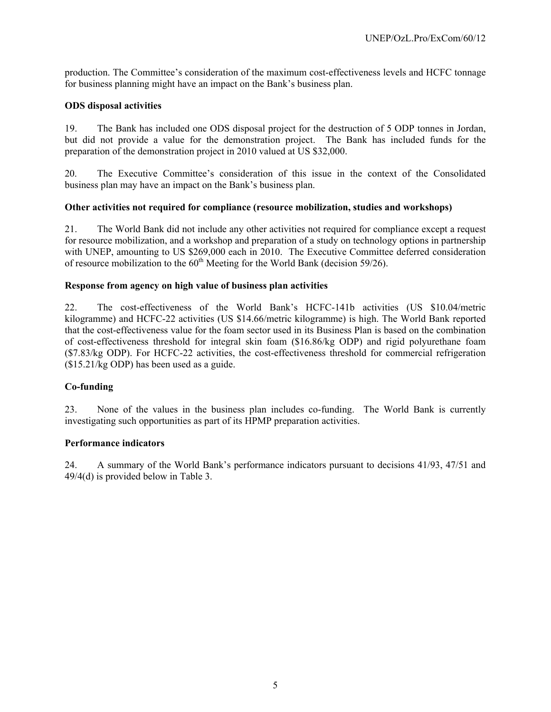production. The Committee's consideration of the maximum cost-effectiveness levels and HCFC tonnage for business planning might have an impact on the Bank's business plan.

#### **ODS disposal activities**

19. The Bank has included one ODS disposal project for the destruction of 5 ODP tonnes in Jordan, but did not provide a value for the demonstration project. The Bank has included funds for the preparation of the demonstration project in 2010 valued at US \$32,000.

20. The Executive Committee's consideration of this issue in the context of the Consolidated business plan may have an impact on the Bank's business plan.

#### **Other activities not required for compliance (resource mobilization, studies and workshops)**

21. The World Bank did not include any other activities not required for compliance except a request for resource mobilization, and a workshop and preparation of a study on technology options in partnership with UNEP, amounting to US \$269,000 each in 2010. The Executive Committee deferred consideration of resource mobilization to the  $60<sup>th</sup>$  Meeting for the World Bank (decision 59/26).

#### **Response from agency on high value of business plan activities**

22. The cost-effectiveness of the World Bank's HCFC-141b activities (US \$10.04/metric kilogramme) and HCFC-22 activities (US \$14.66/metric kilogramme) is high. The World Bank reported that the cost-effectiveness value for the foam sector used in its Business Plan is based on the combination of cost-effectiveness threshold for integral skin foam (\$16.86/kg ODP) and rigid polyurethane foam (\$7.83/kg ODP). For HCFC-22 activities, the cost-effectiveness threshold for commercial refrigeration (\$15.21/kg ODP) has been used as a guide.

# **Co-funding**

23. None of the values in the business plan includes co-funding. The World Bank is currently investigating such opportunities as part of its HPMP preparation activities.

#### **Performance indicators**

24. A summary of the World Bank's performance indicators pursuant to decisions 41/93, 47/51 and 49/4(d) is provided below in Table 3.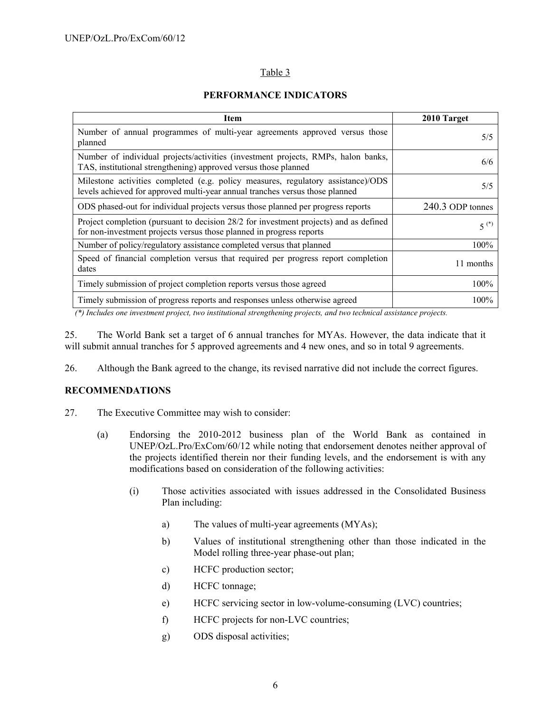# Table 3

### **PERFORMANCE INDICATORS**

| Item                                                                                                                                                             | 2010 Target      |
|------------------------------------------------------------------------------------------------------------------------------------------------------------------|------------------|
| Number of annual programmes of multi-year agreements approved versus those<br>planned                                                                            | 5/5              |
| Number of individual projects/activities (investment projects, RMPs, halon banks,<br>TAS, institutional strengthening) approved versus those planned             | 6/6              |
| Milestone activities completed (e.g. policy measures, regulatory assistance)/ODS<br>levels achieved for approved multi-year annual tranches versus those planned | 5/5              |
| ODS phased-out for individual projects versus those planned per progress reports                                                                                 | 240.3 ODP tonnes |
| Project completion (pursuant to decision 28/2 for investment projects) and as defined<br>for non-investment projects versus those planned in progress reports    | $5^{(*)}$        |
| Number of policy/regulatory assistance completed versus that planned                                                                                             | 100%             |
| Speed of financial completion versus that required per progress report completion<br>dates                                                                       | 11 months        |
| Timely submission of project completion reports versus those agreed                                                                                              | 100%             |
| Timely submission of progress reports and responses unless otherwise agreed                                                                                      | 100%             |

 *(\*) Includes one investment project, two institutional strengthening projects, and two technical assistance projects.* 

25. The World Bank set a target of 6 annual tranches for MYAs. However, the data indicate that it will submit annual tranches for 5 approved agreements and 4 new ones, and so in total 9 agreements.

26. Although the Bank agreed to the change, its revised narrative did not include the correct figures.

# **RECOMMENDATIONS**

- 27. The Executive Committee may wish to consider:
	- (a) Endorsing the 2010-2012 business plan of the World Bank as contained in UNEP/OzL.Pro/ExCom/60/12 while noting that endorsement denotes neither approval of the projects identified therein nor their funding levels, and the endorsement is with any modifications based on consideration of the following activities:
		- (i) Those activities associated with issues addressed in the Consolidated Business Plan including:
			- a) The values of multi-year agreements (MYAs);
			- b) Values of institutional strengthening other than those indicated in the Model rolling three-year phase-out plan;
			- c) HCFC production sector;
			- d) HCFC tonnage;
			- e) HCFC servicing sector in low-volume-consuming (LVC) countries;
			- f) HCFC projects for non-LVC countries;
			- g) ODS disposal activities;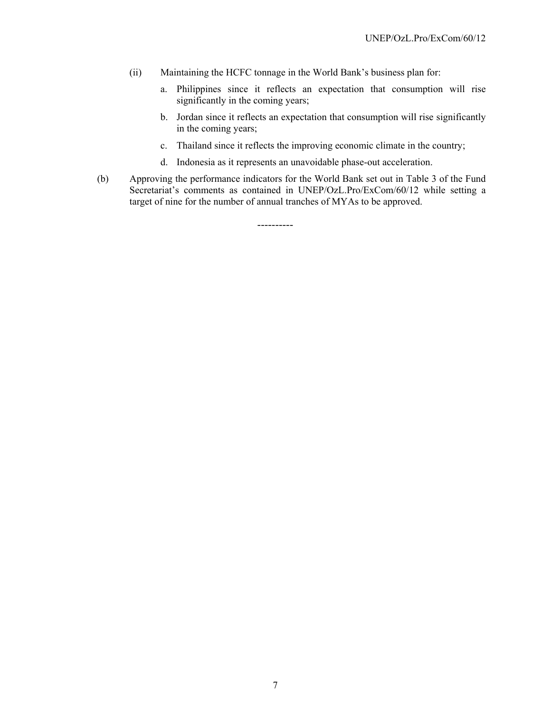- (ii) Maintaining the HCFC tonnage in the World Bank's business plan for:
	- a. Philippines since it reflects an expectation that consumption will rise significantly in the coming years;
	- b. Jordan since it reflects an expectation that consumption will rise significantly in the coming years;
	- c. Thailand since it reflects the improving economic climate in the country;
	- d. Indonesia as it represents an unavoidable phase-out acceleration.
- (b) Approving the performance indicators for the World Bank set out in Table 3 of the Fund Secretariat's comments as contained in UNEP/OzL.Pro/ExCom/60/12 while setting a target of nine for the number of annual tranches of MYAs to be approved.

----------

7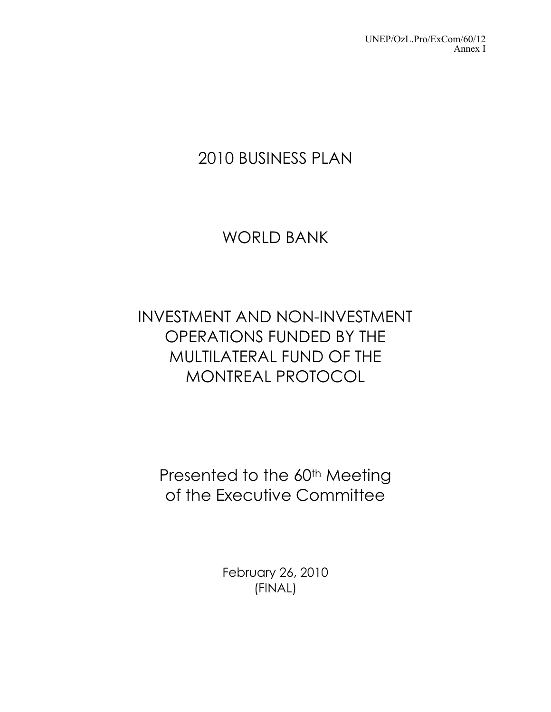# 2010 BUSINESS PLAN

# WORLD BANK

# INVESTMENT AND NON-INVESTMENT OPERATIONS FUNDED BY THE MULTILATERAL FUND OF THE MONTREAL PROTOCOL

Presented to the 60<sup>th</sup> Meeting of the Executive Committee

> February 26, 2010 (FINAL)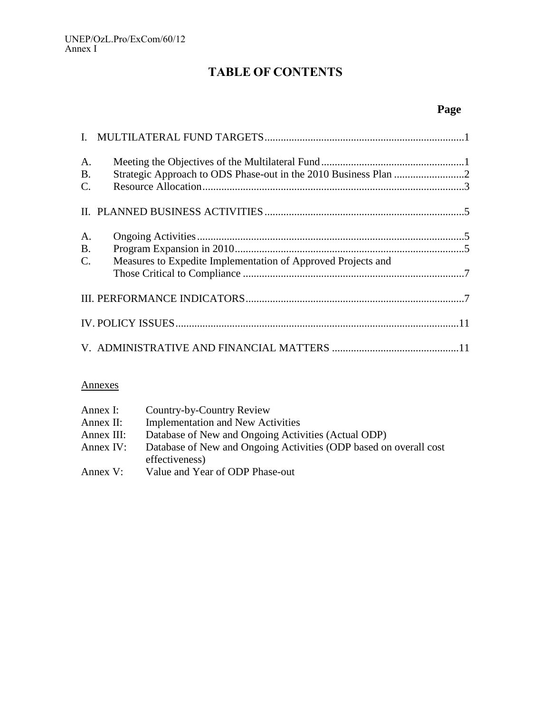# **TABLE OF CONTENTS**

# **Page**

| A. |                                                              |  |
|----|--------------------------------------------------------------|--|
| B. |                                                              |  |
| C. |                                                              |  |
|    |                                                              |  |
| A. |                                                              |  |
| B. |                                                              |  |
| C. | Measures to Expedite Implementation of Approved Projects and |  |
|    |                                                              |  |
|    |                                                              |  |
|    |                                                              |  |

# Annexes

| Annex I:    | Country-by-Country Review                                         |
|-------------|-------------------------------------------------------------------|
| Annex II:   | <b>Implementation and New Activities</b>                          |
| Annex III:  | Database of New and Ongoing Activities (Actual ODP)               |
| Annex $IV:$ | Database of New and Ongoing Activities (ODP based on overall cost |
|             | effectiveness)                                                    |
| Annex $V$ : | Value and Year of ODP Phase-out                                   |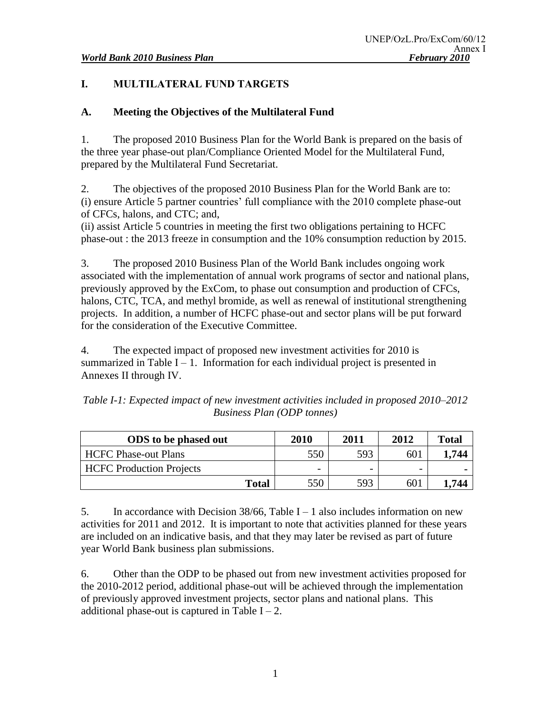# **I. MULTILATERAL FUND TARGETS**

# **A. Meeting the Objectives of the Multilateral Fund**

1. The proposed 2010 Business Plan for the World Bank is prepared on the basis of the three year phase-out plan/Compliance Oriented Model for the Multilateral Fund, prepared by the Multilateral Fund Secretariat.

2. The objectives of the proposed 2010 Business Plan for the World Bank are to: (i) ensure Article 5 partner countries' full compliance with the 2010 complete phase-out of CFCs, halons, and CTC; and,

(ii) assist Article 5 countries in meeting the first two obligations pertaining to HCFC phase-out : the 2013 freeze in consumption and the 10% consumption reduction by 2015.

3. The proposed 2010 Business Plan of the World Bank includes ongoing work associated with the implementation of annual work programs of sector and national plans, previously approved by the ExCom, to phase out consumption and production of CFCs, halons, CTC, TCA, and methyl bromide, as well as renewal of institutional strengthening projects. In addition, a number of HCFC phase-out and sector plans will be put forward for the consideration of the Executive Committee.

4. The expected impact of proposed new investment activities for 2010 is summarized in Table  $I - 1$ . Information for each individual project is presented in Annexes II through IV.

*Table I-1: Expected impact of new investment activities included in proposed 2010–2012 Business Plan (ODP tonnes)*

| <b>ODS</b> to be phased out     | 2010                     | 2011 | 2012 | Total          |
|---------------------------------|--------------------------|------|------|----------------|
| <b>HCFC Phase-out Plans</b>     | 550                      | 593  | 601  | .744           |
| <b>HCFC</b> Production Projects | $\overline{\phantom{0}}$ | -    |      | $\blacksquare$ |
| <b>Total</b>                    | 550                      | 593  | 601  | .744           |

5. In accordance with Decision  $38/66$ , Table I – 1 also includes information on new activities for 2011 and 2012. It is important to note that activities planned for these years are included on an indicative basis, and that they may later be revised as part of future year World Bank business plan submissions.

6. Other than the ODP to be phased out from new investment activities proposed for the 2010-2012 period, additional phase-out will be achieved through the implementation of previously approved investment projects, sector plans and national plans. This additional phase-out is captured in Table  $I - 2$ .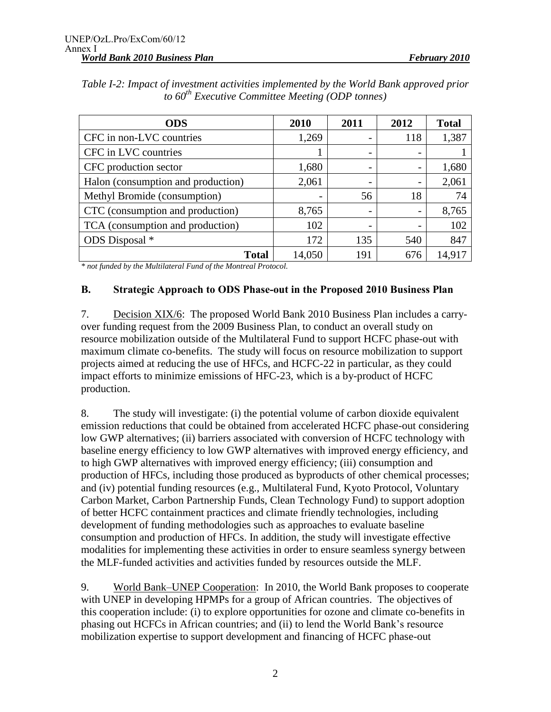| <b>ODS</b>                         | 2010   | 2011                     | 2012 | <b>Total</b> |
|------------------------------------|--------|--------------------------|------|--------------|
| CFC in non-LVC countries           | 1,269  |                          | 118  | 1,387        |
| CFC in LVC countries               |        | $\overline{\phantom{0}}$ |      |              |
| CFC production sector              | 1,680  |                          |      | 1,680        |
| Halon (consumption and production) | 2,061  | $\overline{\phantom{0}}$ |      | 2,061        |
| Methyl Bromide (consumption)       |        | 56                       | 18   | 74           |
| CTC (consumption and production)   | 8,765  | -                        |      | 8,765        |
| TCA (consumption and production)   | 102    | -                        |      | 102          |
| ODS Disposal *                     | 172    | 135                      | 540  | 847          |
| Total                              | 14,050 | 191                      | 676  | 14,917       |

*Table I-2: Impact of investment activities implemented by the World Bank approved prior to 60th Executive Committee Meeting (ODP tonnes)*

*\* not funded by the Multilateral Fund of the Montreal Protocol.* 

#### **B. Strategic Approach to ODS Phase-out in the Proposed 2010 Business Plan**

7. Decision XIX/6: The proposed World Bank 2010 Business Plan includes a carryover funding request from the 2009 Business Plan, to conduct an overall study on resource mobilization outside of the Multilateral Fund to support HCFC phase-out with maximum climate co-benefits. The study will focus on resource mobilization to support projects aimed at reducing the use of HFCs, and HCFC-22 in particular, as they could impact efforts to minimize emissions of HFC-23, which is a by-product of HCFC production.

8. The study will investigate: (i) the potential volume of carbon dioxide equivalent emission reductions that could be obtained from accelerated HCFC phase-out considering low GWP alternatives; (ii) barriers associated with conversion of HCFC technology with baseline energy efficiency to low GWP alternatives with improved energy efficiency, and to high GWP alternatives with improved energy efficiency; (iii) consumption and production of HFCs, including those produced as byproducts of other chemical processes; and (iv) potential funding resources (e.g., Multilateral Fund, Kyoto Protocol, Voluntary Carbon Market, Carbon Partnership Funds, Clean Technology Fund) to support adoption of better HCFC containment practices and climate friendly technologies, including development of funding methodologies such as approaches to evaluate baseline consumption and production of HFCs. In addition, the study will investigate effective modalities for implementing these activities in order to ensure seamless synergy between the MLF-funded activities and activities funded by resources outside the MLF.

9. World Bank–UNEP Cooperation: In 2010, the World Bank proposes to cooperate with UNEP in developing HPMPs for a group of African countries. The objectives of this cooperation include: (i) to explore opportunities for ozone and climate co-benefits in phasing out HCFCs in African countries; and (ii) to lend the World Bank's resource mobilization expertise to support development and financing of HCFC phase-out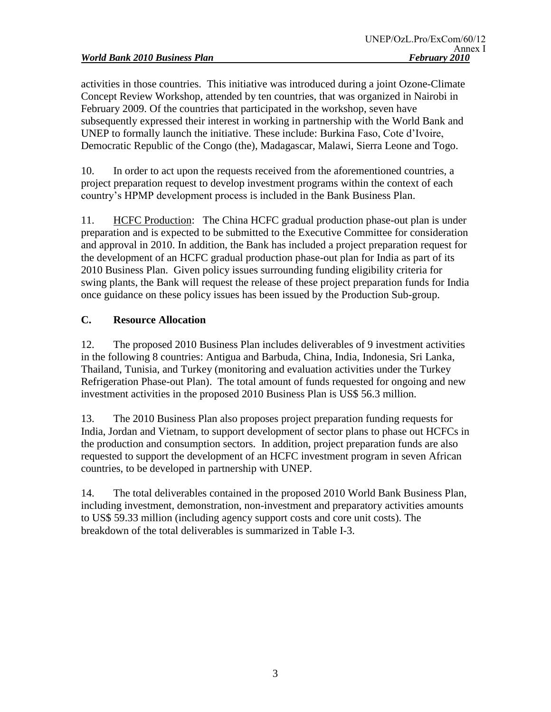activities in those countries. This initiative was introduced during a joint Ozone-Climate Concept Review Workshop, attended by ten countries, that was organized in Nairobi in February 2009. Of the countries that participated in the workshop, seven have subsequently expressed their interest in working in partnership with the World Bank and UNEP to formally launch the initiative. These include: Burkina Faso, Cote d'Ivoire, Democratic Republic of the Congo (the), Madagascar, Malawi, Sierra Leone and Togo.

10. In order to act upon the requests received from the aforementioned countries, a project preparation request to develop investment programs within the context of each country's HPMP development process is included in the Bank Business Plan.

11. HCFC Production: The China HCFC gradual production phase-out plan is under preparation and is expected to be submitted to the Executive Committee for consideration and approval in 2010. In addition, the Bank has included a project preparation request for the development of an HCFC gradual production phase-out plan for India as part of its 2010 Business Plan. Given policy issues surrounding funding eligibility criteria for swing plants, the Bank will request the release of these project preparation funds for India once guidance on these policy issues has been issued by the Production Sub-group.

# **C. Resource Allocation**

12. The proposed 2010 Business Plan includes deliverables of 9 investment activities in the following 8 countries: Antigua and Barbuda, China, India, Indonesia, Sri Lanka, Thailand, Tunisia, and Turkey (monitoring and evaluation activities under the Turkey Refrigeration Phase-out Plan). The total amount of funds requested for ongoing and new investment activities in the proposed 2010 Business Plan is US\$ 56.3 million.

13. The 2010 Business Plan also proposes project preparation funding requests for India, Jordan and Vietnam, to support development of sector plans to phase out HCFCs in the production and consumption sectors. In addition, project preparation funds are also requested to support the development of an HCFC investment program in seven African countries, to be developed in partnership with UNEP.

14. The total deliverables contained in the proposed 2010 World Bank Business Plan, including investment, demonstration, non-investment and preparatory activities amounts to US\$ 59.33 million (including agency support costs and core unit costs). The breakdown of the total deliverables is summarized in Table I-3.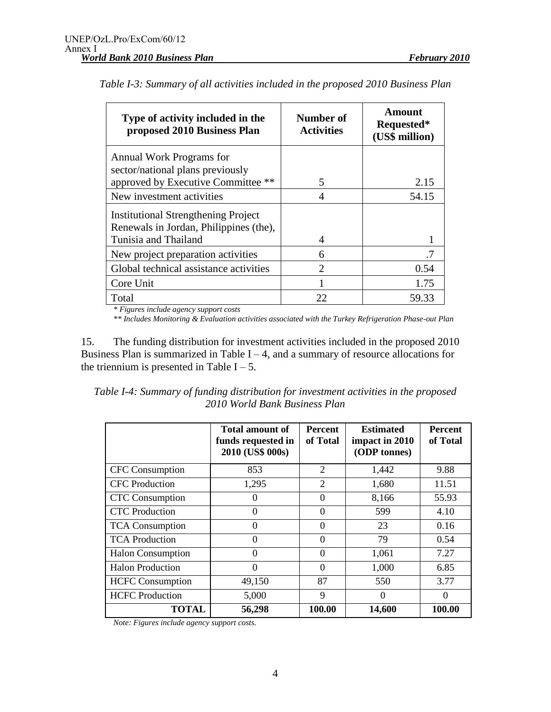| Type of activity included in the<br>proposed 2010 Business Plan                      | Number of<br><b>Activities</b> | Amount<br>Requested*<br>(US\$ million) |
|--------------------------------------------------------------------------------------|--------------------------------|----------------------------------------|
| Annual Work Programs for                                                             |                                |                                        |
| sector/national plans previously<br>approved by Executive Committee **               | 5                              | 2.15                                   |
| New investment activities                                                            | 4                              | 54.15                                  |
| <b>Institutional Strengthening Project</b><br>Renewals in Jordan, Philippines (the), |                                |                                        |
| Tunisia and Thailand                                                                 | 4                              |                                        |
| New project preparation activities                                                   | 6                              | .7                                     |
| Global technical assistance activities                                               | 2                              | 0.54                                   |
| Core Unit                                                                            |                                | 1.75                                   |
| Total                                                                                | 22                             | 59.33                                  |

| Table I-3: Summary of all activities included in the proposed 2010 Business Plan |  |  |  |  |
|----------------------------------------------------------------------------------|--|--|--|--|
|----------------------------------------------------------------------------------|--|--|--|--|

*\* Figures include agency support costs*

*\*\* Includes Monitoring & Evaluation activities associated with the Turkey Refrigeration Phase-out Plan*

15. The funding distribution for investment activities included in the proposed 2010 Business Plan is summarized in Table  $I - 4$ , and a summary of resource allocations for the triennium is presented in Table  $I - 5$ .

| Table I-4: Summary of funding distribution for investment activities in the proposed |  |
|--------------------------------------------------------------------------------------|--|
| 2010 World Bank Business Plan                                                        |  |

|                          | Total amount of<br>funds requested in<br>2010 (US\$ 000s) | <b>Percent</b><br>of Total | <b>Estimated</b><br>impact in 2010<br>(ODP tonnes) | <b>Percent</b><br>of Total |
|--------------------------|-----------------------------------------------------------|----------------------------|----------------------------------------------------|----------------------------|
| <b>CFC</b> Consumption   | 853                                                       | 2                          | 1,442                                              | 9.88                       |
| <b>CFC</b> Production    | 1,295                                                     | 2                          | 1,680                                              | 11.51                      |
| <b>CTC</b> Consumption   | $\left($                                                  | $\theta$                   | 8,166                                              | 55.93                      |
| <b>CTC</b> Production    | $\theta$                                                  | $\Omega$                   | 599                                                | 4.10                       |
| <b>TCA</b> Consumption   | $\theta$                                                  | $\Omega$                   | 23                                                 | 0.16                       |
| <b>TCA Production</b>    | $\theta$                                                  | $\theta$                   | 79                                                 | 0.54                       |
| <b>Halon Consumption</b> | $\Omega$                                                  | $\Omega$                   | 1,061                                              | 7.27                       |
| <b>Halon Production</b>  | $\Omega$                                                  | $\Omega$                   | 1,000                                              | 6.85                       |
| <b>HCFC</b> Consumption  | 49,150                                                    | 87                         | 550                                                | 3.77                       |
| <b>HCFC</b> Production   | 5,000                                                     | 9                          | $\Omega$                                           | $\Omega$                   |
| <b>TOTAL</b>             | 56,298                                                    | 100.00                     | 14,600                                             | 100.00                     |

*Note: Figures include agency support costs.*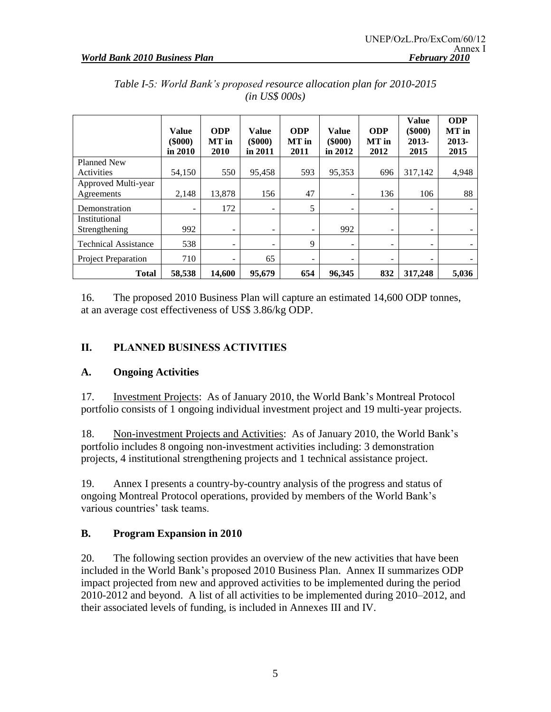|                                   | <b>Value</b><br>$($ \$000 $)$<br>in 2010 | <b>ODP</b><br>MT in<br>2010  | Value<br>$(\$000)$<br>in 2011 | <b>ODP</b><br>MT in<br>2011 | <b>Value</b><br>$(\$000)$<br>in 2012 | <b>ODP</b><br>MT in<br>2012 | <b>Value</b><br>$(\$000)$<br>2013-<br>2015 | <b>ODP</b><br>MT in<br>$2013 -$<br>2015 |
|-----------------------------------|------------------------------------------|------------------------------|-------------------------------|-----------------------------|--------------------------------------|-----------------------------|--------------------------------------------|-----------------------------------------|
| <b>Planned New</b>                |                                          |                              |                               |                             |                                      |                             |                                            |                                         |
| Activities                        | 54,150                                   | 550                          | 95,458                        | 593                         | 95,353                               | 696                         | 317,142                                    | 4,948                                   |
| Approved Multi-year<br>Agreements | 2,148                                    | 13,878                       | 156                           | 47                          | $\overline{\phantom{0}}$             | 136                         | 106                                        | 88                                      |
| Demonstration                     | $\overline{\phantom{a}}$                 | 172                          | -                             | 5                           | $\overline{\phantom{a}}$             | -                           | -                                          |                                         |
| Institutional<br>Strengthening    | 992                                      | $\overline{\phantom{a}}$     | ۰                             | -                           | 992                                  | -                           | -                                          |                                         |
| <b>Technical Assistance</b>       | 538                                      | $\qquad \qquad \blacksquare$ | -                             | 9                           | -                                    | $\overline{\phantom{0}}$    | -                                          |                                         |
| <b>Project Preparation</b>        | 710                                      | $\overline{\phantom{0}}$     | 65                            | $\qquad \qquad -$           | $\qquad \qquad$                      | -                           | $\overline{\phantom{a}}$                   |                                         |
| <b>Total</b>                      | 58,538                                   | 14,600                       | 95,679                        | 654                         | 96,345                               | 832                         | 317,248                                    | 5,036                                   |

*Table I-5: World Bank's proposed resource allocation plan for 2010-2015 (in US\$ 000s)*

16. The proposed 2010 Business Plan will capture an estimated 14,600 ODP tonnes, at an average cost effectiveness of US\$ 3.86/kg ODP.

# **II. PLANNED BUSINESS ACTIVITIES**

# **A. Ongoing Activities**

17. Investment Projects: As of January 2010, the World Bank's Montreal Protocol portfolio consists of 1 ongoing individual investment project and 19 multi-year projects.

18. Non-investment Projects and Activities: As of January 2010, the World Bank's portfolio includes 8 ongoing non-investment activities including: 3 demonstration projects, 4 institutional strengthening projects and 1 technical assistance project.

19. Annex I presents a country-by-country analysis of the progress and status of ongoing Montreal Protocol operations, provided by members of the World Bank's various countries' task teams.

# **B. Program Expansion in 2010**

20. The following section provides an overview of the new activities that have been included in the World Bank's proposed 2010 Business Plan. Annex II summarizes ODP impact projected from new and approved activities to be implemented during the period 2010-2012 and beyond. A list of all activities to be implemented during 2010–2012, and their associated levels of funding, is included in Annexes III and IV.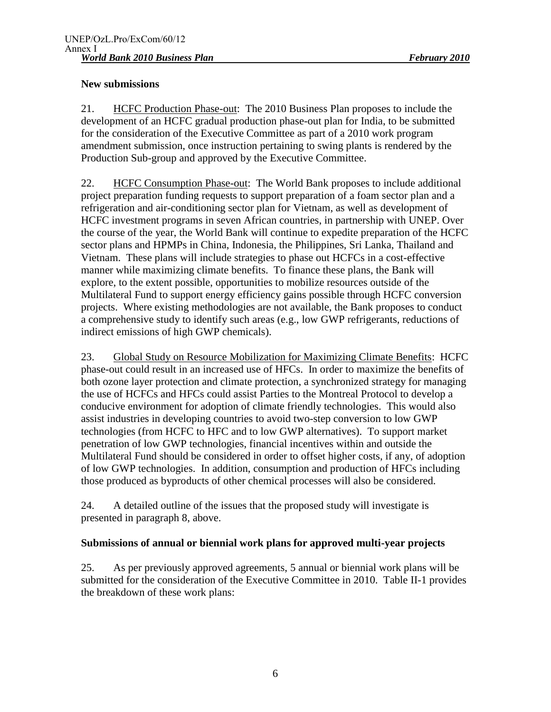# **New submissions**

21. HCFC Production Phase-out: The 2010 Business Plan proposes to include the development of an HCFC gradual production phase-out plan for India, to be submitted for the consideration of the Executive Committee as part of a 2010 work program amendment submission, once instruction pertaining to swing plants is rendered by the Production Sub-group and approved by the Executive Committee.

22. HCFC Consumption Phase-out: The World Bank proposes to include additional project preparation funding requests to support preparation of a foam sector plan and a refrigeration and air-conditioning sector plan for Vietnam, as well as development of HCFC investment programs in seven African countries, in partnership with UNEP. Over the course of the year, the World Bank will continue to expedite preparation of the HCFC sector plans and HPMPs in China, Indonesia, the Philippines, Sri Lanka, Thailand and Vietnam. These plans will include strategies to phase out HCFCs in a cost-effective manner while maximizing climate benefits. To finance these plans, the Bank will explore, to the extent possible, opportunities to mobilize resources outside of the Multilateral Fund to support energy efficiency gains possible through HCFC conversion projects. Where existing methodologies are not available, the Bank proposes to conduct a comprehensive study to identify such areas (e.g., low GWP refrigerants, reductions of indirect emissions of high GWP chemicals).

23. Global Study on Resource Mobilization for Maximizing Climate Benefits: HCFC phase-out could result in an increased use of HFCs. In order to maximize the benefits of both ozone layer protection and climate protection, a synchronized strategy for managing the use of HCFCs and HFCs could assist Parties to the Montreal Protocol to develop a conducive environment for adoption of climate friendly technologies. This would also assist industries in developing countries to avoid two-step conversion to low GWP technologies (from HCFC to HFC and to low GWP alternatives). To support market penetration of low GWP technologies, financial incentives within and outside the Multilateral Fund should be considered in order to offset higher costs, if any, of adoption of low GWP technologies. In addition, consumption and production of HFCs including those produced as byproducts of other chemical processes will also be considered.

24. A detailed outline of the issues that the proposed study will investigate is presented in paragraph 8, above.

# **Submissions of annual or biennial work plans for approved multi-year projects**

25. As per previously approved agreements, 5 annual or biennial work plans will be submitted for the consideration of the Executive Committee in 2010. Table II-1 provides the breakdown of these work plans: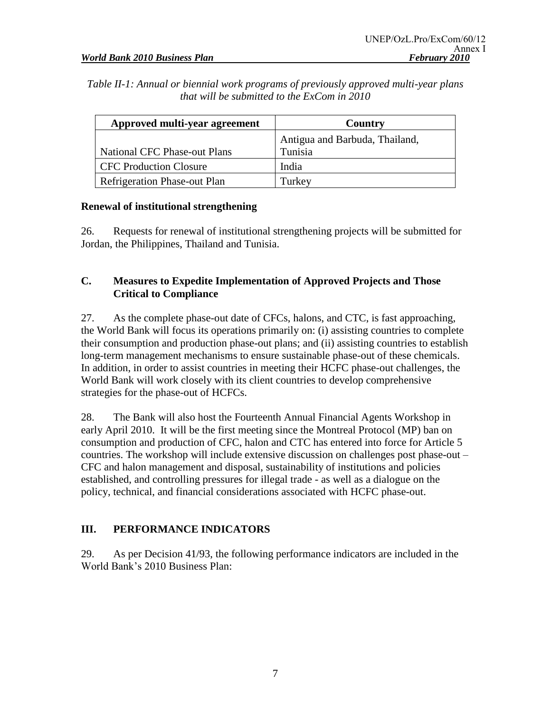*Table II-1: Annual or biennial work programs of previously approved multi-year plans that will be submitted to the ExCom in 2010*

| Approved multi-year agreement       | Country                        |
|-------------------------------------|--------------------------------|
|                                     | Antigua and Barbuda, Thailand, |
| <b>National CFC Phase-out Plans</b> | Tunisia                        |
| <b>CFC Production Closure</b>       | India                          |
| <b>Refrigeration Phase-out Plan</b> | Turkey                         |

# **Renewal of institutional strengthening**

26. Requests for renewal of institutional strengthening projects will be submitted for Jordan, the Philippines, Thailand and Tunisia.

# **C. Measures to Expedite Implementation of Approved Projects and Those Critical to Compliance**

27. As the complete phase-out date of CFCs, halons, and CTC, is fast approaching, the World Bank will focus its operations primarily on: (i) assisting countries to complete their consumption and production phase-out plans; and (ii) assisting countries to establish long-term management mechanisms to ensure sustainable phase-out of these chemicals. In addition, in order to assist countries in meeting their HCFC phase-out challenges, the World Bank will work closely with its client countries to develop comprehensive strategies for the phase-out of HCFCs.

28. The Bank will also host the Fourteenth Annual Financial Agents Workshop in early April 2010. It will be the first meeting since the Montreal Protocol (MP) ban on consumption and production of CFC, halon and CTC has entered into force for Article 5 countries. The workshop will include extensive discussion on challenges post phase-out – CFC and halon management and disposal, sustainability of institutions and policies established, and controlling pressures for illegal trade - as well as a dialogue on the policy, technical, and financial considerations associated with HCFC phase-out.

# **III. PERFORMANCE INDICATORS**

29. As per Decision 41/93, the following performance indicators are included in the World Bank's 2010 Business Plan: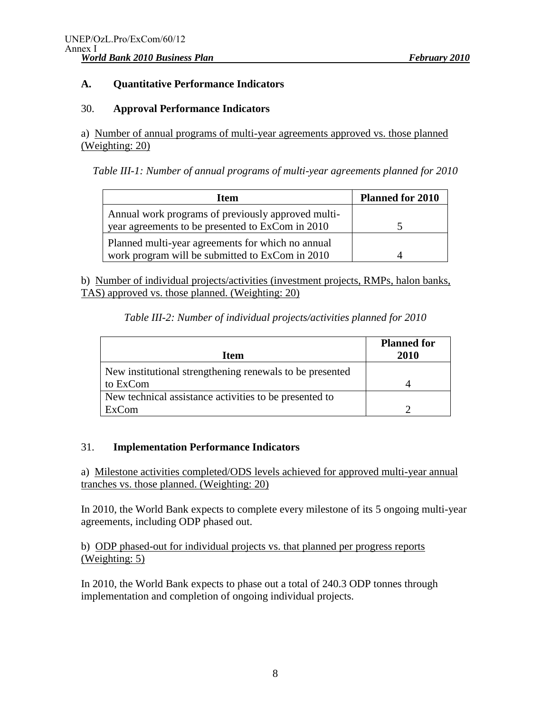# **A. Quantitative Performance Indicators**

### 30. **Approval Performance Indicators**

a) Number of annual programs of multi-year agreements approved vs. those planned (Weighting: 20)

*Table III-1: Number of annual programs of multi-year agreements planned for 2010*

| <b>Item</b>                                        | <b>Planned for 2010</b> |
|----------------------------------------------------|-------------------------|
| Annual work programs of previously approved multi- |                         |
| year agreements to be presented to ExCom in 2010   |                         |
| Planned multi-year agreements for which no annual  |                         |
| work program will be submitted to ExCom in 2010    |                         |

b) Number of individual projects/activities (investment projects, RMPs, halon banks, TAS) approved vs. those planned. (Weighting: 20)

| Table III-2: Number of individual projects/activities planned for 2010 |  |  |
|------------------------------------------------------------------------|--|--|
|------------------------------------------------------------------------|--|--|

| <b>Item</b>                                              | <b>Planned for</b><br>2010 |
|----------------------------------------------------------|----------------------------|
| New institutional strengthening renewals to be presented |                            |
| to ExCom                                                 |                            |
| New technical assistance activities to be presented to   |                            |
| ExCom                                                    |                            |

# 31. **Implementation Performance Indicators**

a) Milestone activities completed/ODS levels achieved for approved multi-year annual tranches vs. those planned. (Weighting: 20)

In 2010, the World Bank expects to complete every milestone of its 5 ongoing multi-year agreements, including ODP phased out.

b) ODP phased-out for individual projects vs. that planned per progress reports (Weighting: 5)

In 2010, the World Bank expects to phase out a total of 240.3 ODP tonnes through implementation and completion of ongoing individual projects.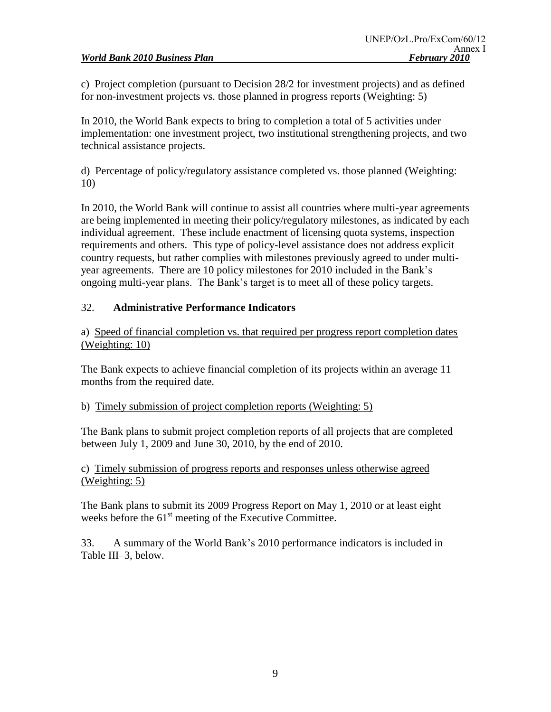c) Project completion (pursuant to Decision 28/2 for investment projects) and as defined for non-investment projects vs. those planned in progress reports (Weighting: 5)

In 2010, the World Bank expects to bring to completion a total of 5 activities under implementation: one investment project, two institutional strengthening projects, and two technical assistance projects.

d) Percentage of policy/regulatory assistance completed vs. those planned (Weighting: 10)

In 2010, the World Bank will continue to assist all countries where multi-year agreements are being implemented in meeting their policy/regulatory milestones, as indicated by each individual agreement. These include enactment of licensing quota systems, inspection requirements and others. This type of policy-level assistance does not address explicit country requests, but rather complies with milestones previously agreed to under multiyear agreements. There are 10 policy milestones for 2010 included in the Bank's ongoing multi-year plans. The Bank's target is to meet all of these policy targets.

# 32. **Administrative Performance Indicators**

a) Speed of financial completion vs. that required per progress report completion dates (Weighting: 10)

The Bank expects to achieve financial completion of its projects within an average 11 months from the required date.

# b) Timely submission of project completion reports (Weighting: 5)

The Bank plans to submit project completion reports of all projects that are completed between July 1, 2009 and June 30, 2010, by the end of 2010.

c) Timely submission of progress reports and responses unless otherwise agreed (Weighting: 5)

The Bank plans to submit its 2009 Progress Report on May 1, 2010 or at least eight weeks before the 61<sup>st</sup> meeting of the Executive Committee.

33. A summary of the World Bank's 2010 performance indicators is included in Table III–3, below.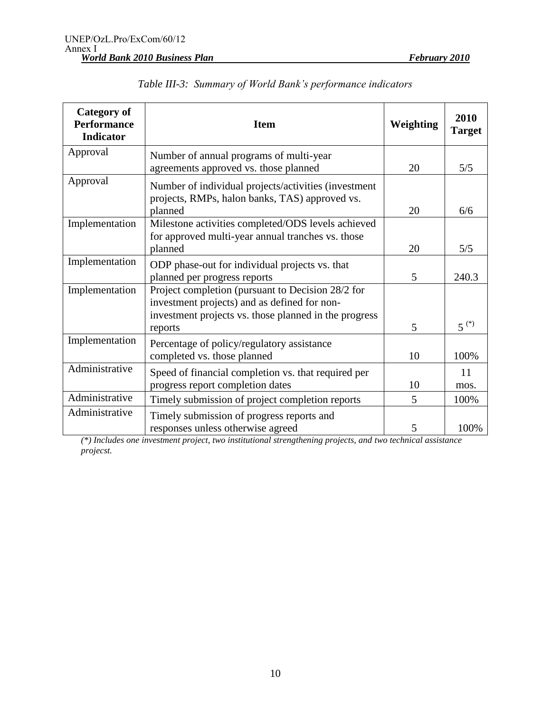| <b>Category of</b><br><b>Performance</b><br><b>Indicator</b> | <b>Item</b>                                                                                                                                                           | Weighting | 2010<br><b>Target</b> |
|--------------------------------------------------------------|-----------------------------------------------------------------------------------------------------------------------------------------------------------------------|-----------|-----------------------|
| Approval                                                     | Number of annual programs of multi-year<br>agreements approved vs. those planned                                                                                      | 20        | 5/5                   |
| Approval                                                     | Number of individual projects/activities (investment<br>projects, RMPs, halon banks, TAS) approved vs.<br>planned                                                     | 20        | 6/6                   |
| Implementation                                               | Milestone activities completed/ODS levels achieved<br>for approved multi-year annual tranches vs. those<br>planned                                                    | 20        | 5/5                   |
| Implementation                                               | ODP phase-out for individual projects vs. that<br>planned per progress reports                                                                                        | 5         | 240.3                 |
| Implementation                                               | Project completion (pursuant to Decision 28/2 for<br>investment projects) and as defined for non-<br>investment projects vs. those planned in the progress<br>reports | 5         | $5^{(*)}$             |
| Implementation                                               | Percentage of policy/regulatory assistance<br>completed vs. those planned                                                                                             | 10        | 100%                  |
| Administrative                                               | Speed of financial completion vs. that required per<br>progress report completion dates                                                                               | 10        | 11<br>mos.            |
| Administrative                                               | Timely submission of project completion reports                                                                                                                       | 5         | 100%                  |
| Administrative                                               | Timely submission of progress reports and<br>responses unless otherwise agreed                                                                                        | 5         | 100%                  |

|  | Table III-3: Summary of World Bank's performance indicators |  |  |  |  |
|--|-------------------------------------------------------------|--|--|--|--|
|--|-------------------------------------------------------------|--|--|--|--|

*(\*) Includes one investment project, two institutional strengthening projects, and two technical assistance projecst.*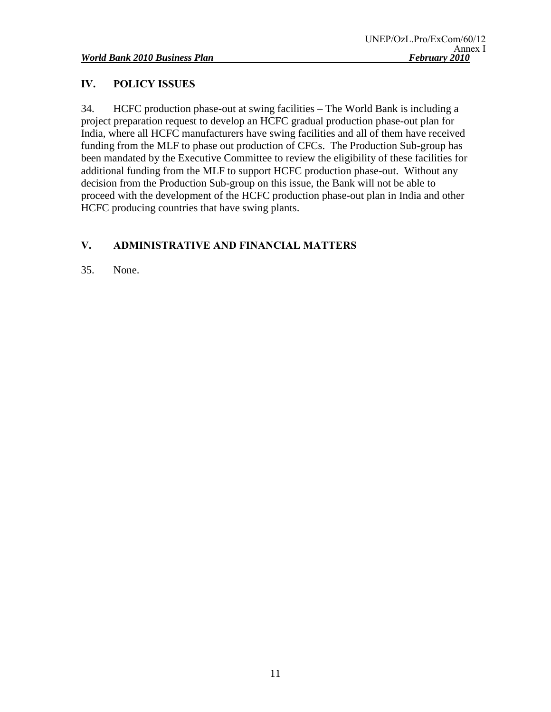# **IV. POLICY ISSUES**

34. HCFC production phase-out at swing facilities – The World Bank is including a project preparation request to develop an HCFC gradual production phase-out plan for India, where all HCFC manufacturers have swing facilities and all of them have received funding from the MLF to phase out production of CFCs. The Production Sub-group has been mandated by the Executive Committee to review the eligibility of these facilities for additional funding from the MLF to support HCFC production phase-out. Without any decision from the Production Sub-group on this issue, the Bank will not be able to proceed with the development of the HCFC production phase-out plan in India and other HCFC producing countries that have swing plants.

# **V. ADMINISTRATIVE AND FINANCIAL MATTERS**

35. None.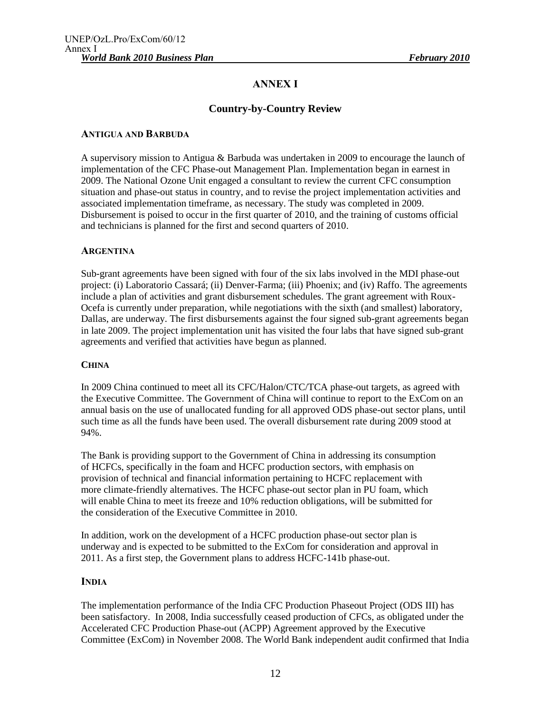# **ANNEX I**

# **Country-by-Country Review**

#### **ANTIGUA AND BARBUDA**

A supervisory mission to Antigua & Barbuda was undertaken in 2009 to encourage the launch of implementation of the CFC Phase-out Management Plan. Implementation began in earnest in 2009. The National Ozone Unit engaged a consultant to review the current CFC consumption situation and phase-out status in country, and to revise the project implementation activities and associated implementation timeframe, as necessary. The study was completed in 2009. Disbursement is poised to occur in the first quarter of 2010, and the training of customs official and technicians is planned for the first and second quarters of 2010.

#### **ARGENTINA**

Sub-grant agreements have been signed with four of the six labs involved in the MDI phase-out project: (i) Laboratorio Cassará; (ii) Denver-Farma; (iii) Phoenix; and (iv) Raffo. The agreements include a plan of activities and grant disbursement schedules. The grant agreement with Roux-Ocefa is currently under preparation, while negotiations with the sixth (and smallest) laboratory, Dallas, are underway. The first disbursements against the four signed sub-grant agreements began in late 2009. The project implementation unit has visited the four labs that have signed sub-grant agreements and verified that activities have begun as planned.

#### **CHINA**

In 2009 China continued to meet all its CFC/Halon/CTC/TCA phase-out targets, as agreed with the Executive Committee. The Government of China will continue to report to the ExCom on an annual basis on the use of unallocated funding for all approved ODS phase-out sector plans, until such time as all the funds have been used. The overall disbursement rate during 2009 stood at 94%.

The Bank is providing support to the Government of China in addressing its consumption of HCFCs, specifically in the foam and HCFC production sectors, with emphasis on provision of technical and financial information pertaining to HCFC replacement with more climate-friendly alternatives. The HCFC phase-out sector plan in PU foam, which will enable China to meet its freeze and 10% reduction obligations, will be submitted for the consideration of the Executive Committee in 2010.

In addition, work on the development of a HCFC production phase-out sector plan is underway and is expected to be submitted to the ExCom for consideration and approval in 2011. As a first step, the Government plans to address HCFC-141b phase-out.

#### **INDIA**

The implementation performance of the India CFC Production Phaseout Project (ODS III) has been satisfactory. In 2008, India successfully ceased production of CFCs, as obligated under the Accelerated CFC Production Phase-out (ACPP) Agreement approved by the Executive Committee (ExCom) in November 2008. The World Bank independent audit confirmed that India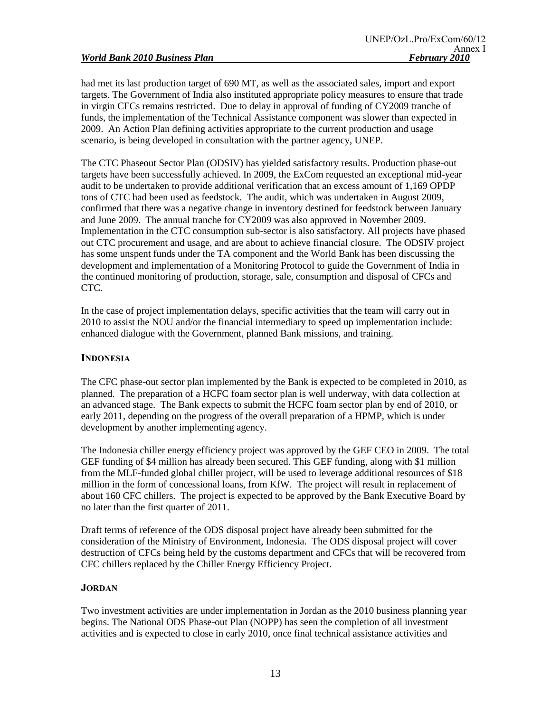had met its last production target of 690 MT, as well as the associated sales, import and export targets. The Government of India also instituted appropriate policy measures to ensure that trade in virgin CFCs remains restricted. Due to delay in approval of funding of CY2009 tranche of funds, the implementation of the Technical Assistance component was slower than expected in 2009. An Action Plan defining activities appropriate to the current production and usage scenario, is being developed in consultation with the partner agency, UNEP.

The CTC Phaseout Sector Plan (ODSIV) has yielded satisfactory results. Production phase-out targets have been successfully achieved. In 2009, the ExCom requested an exceptional mid-year audit to be undertaken to provide additional verification that an excess amount of 1,169 OPDP tons of CTC had been used as feedstock. The audit, which was undertaken in August 2009, confirmed that there was a negative change in inventory destined for feedstock between January and June 2009. The annual tranche for CY2009 was also approved in November 2009. Implementation in the CTC consumption sub-sector is also satisfactory. All projects have phased out CTC procurement and usage, and are about to achieve financial closure. The ODSIV project has some unspent funds under the TA component and the World Bank has been discussing the development and implementation of a Monitoring Protocol to guide the Government of India in the continued monitoring of production, storage, sale, consumption and disposal of CFCs and CTC.

In the case of project implementation delays, specific activities that the team will carry out in 2010 to assist the NOU and/or the financial intermediary to speed up implementation include: enhanced dialogue with the Government, planned Bank missions, and training.

#### **INDONESIA**

The CFC phase-out sector plan implemented by the Bank is expected to be completed in 2010, as planned. The preparation of a HCFC foam sector plan is well underway, with data collection at an advanced stage. The Bank expects to submit the HCFC foam sector plan by end of 2010, or early 2011, depending on the progress of the overall preparation of a HPMP, which is under development by another implementing agency.

The Indonesia chiller energy efficiency project was approved by the GEF CEO in 2009. The total GEF funding of \$4 million has already been secured. This GEF funding, along with \$1 million from the MLF-funded global chiller project, will be used to leverage additional resources of \$18 million in the form of concessional loans, from KfW. The project will result in replacement of about 160 CFC chillers. The project is expected to be approved by the Bank Executive Board by no later than the first quarter of 2011.

Draft terms of reference of the ODS disposal project have already been submitted for the consideration of the Ministry of Environment, Indonesia. The ODS disposal project will cover destruction of CFCs being held by the customs department and CFCs that will be recovered from CFC chillers replaced by the Chiller Energy Efficiency Project.

#### **JORDAN**

Two investment activities are under implementation in Jordan as the 2010 business planning year begins. The National ODS Phase-out Plan (NOPP) has seen the completion of all investment activities and is expected to close in early 2010, once final technical assistance activities and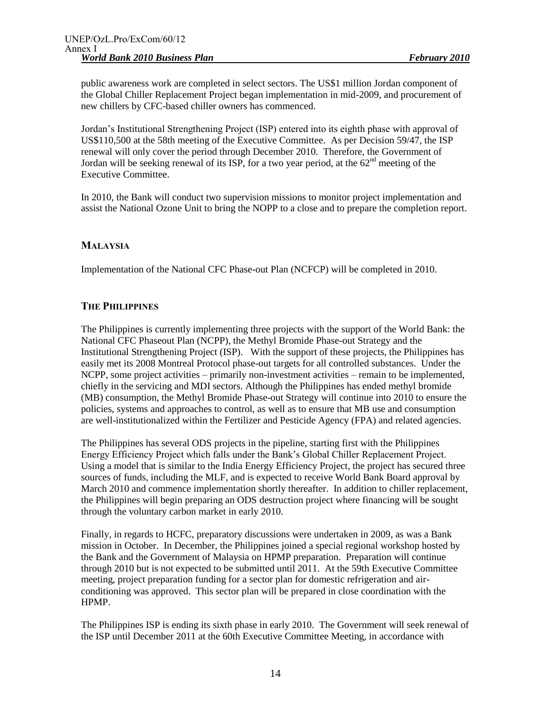public awareness work are completed in select sectors. The US\$1 million Jordan component of the Global Chiller Replacement Project began implementation in mid-2009, and procurement of new chillers by CFC-based chiller owners has commenced.

Jordan's Institutional Strengthening Project (ISP) entered into its eighth phase with approval of US\$110,500 at the 58th meeting of the Executive Committee. As per Decision 59/47, the ISP renewal will only cover the period through December 2010. Therefore, the Government of Jordan will be seeking renewal of its ISP, for a two year period, at the  $62<sup>nd</sup>$  meeting of the Executive Committee.

In 2010, the Bank will conduct two supervision missions to monitor project implementation and assist the National Ozone Unit to bring the NOPP to a close and to prepare the completion report.

#### **MALAYSIA**

Implementation of the National CFC Phase-out Plan (NCFCP) will be completed in 2010.

#### **THE PHILIPPINES**

The Philippines is currently implementing three projects with the support of the World Bank: the National CFC Phaseout Plan (NCPP), the Methyl Bromide Phase-out Strategy and the Institutional Strengthening Project (ISP). With the support of these projects, the Philippines has easily met its 2008 Montreal Protocol phase-out targets for all controlled substances. Under the NCPP, some project activities – primarily non-investment activities – remain to be implemented, chiefly in the servicing and MDI sectors. Although the Philippines has ended methyl bromide (MB) consumption, the Methyl Bromide Phase-out Strategy will continue into 2010 to ensure the policies, systems and approaches to control, as well as to ensure that MB use and consumption are well-institutionalized within the Fertilizer and Pesticide Agency (FPA) and related agencies.

The Philippines has several ODS projects in the pipeline, starting first with the Philippines Energy Efficiency Project which falls under the Bank's Global Chiller Replacement Project. Using a model that is similar to the India Energy Efficiency Project, the project has secured three sources of funds, including the MLF, and is expected to receive World Bank Board approval by March 2010 and commence implementation shortly thereafter. In addition to chiller replacement, the Philippines will begin preparing an ODS destruction project where financing will be sought through the voluntary carbon market in early 2010.

Finally, in regards to HCFC, preparatory discussions were undertaken in 2009, as was a Bank mission in October. In December, the Philippines joined a special regional workshop hosted by the Bank and the Government of Malaysia on HPMP preparation. Preparation will continue through 2010 but is not expected to be submitted until 2011. At the 59th Executive Committee meeting, project preparation funding for a sector plan for domestic refrigeration and airconditioning was approved. This sector plan will be prepared in close coordination with the HPMP.

The Philippines ISP is ending its sixth phase in early 2010. The Government will seek renewal of the ISP until December 2011 at the 60th Executive Committee Meeting, in accordance with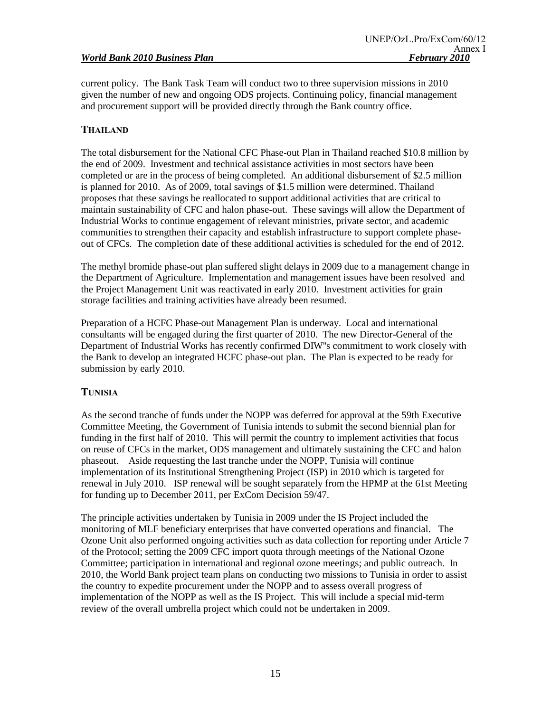current policy. The Bank Task Team will conduct two to three supervision missions in 2010 given the number of new and ongoing ODS projects. Continuing policy, financial management and procurement support will be provided directly through the Bank country office.

# **THAILAND**

The total disbursement for the National CFC Phase-out Plan in Thailand reached \$10.8 million by the end of 2009. Investment and technical assistance activities in most sectors have been completed or are in the process of being completed. An additional disbursement of \$2.5 million is planned for 2010. As of 2009, total savings of \$1.5 million were determined. Thailand proposes that these savings be reallocated to support additional activities that are critical to maintain sustainability of CFC and halon phase-out. These savings will allow the Department of Industrial Works to continue engagement of relevant ministries, private sector, and academic communities to strengthen their capacity and establish infrastructure to support complete phaseout of CFCs. The completion date of these additional activities is scheduled for the end of 2012.

The methyl bromide phase-out plan suffered slight delays in 2009 due to a management change in the Department of Agriculture. Implementation and management issues have been resolved and the Project Management Unit was reactivated in early 2010. Investment activities for grain storage facilities and training activities have already been resumed.

Preparation of a HCFC Phase-out Management Plan is underway. Local and international consultants will be engaged during the first quarter of 2010. The new Director-General of the Department of Industrial Works has recently confirmed DIW''s commitment to work closely with the Bank to develop an integrated HCFC phase-out plan. The Plan is expected to be ready for submission by early 2010.

# **TUNISIA**

As the second tranche of funds under the NOPP was deferred for approval at the 59th Executive Committee Meeting, the Government of Tunisia intends to submit the second biennial plan for funding in the first half of 2010. This will permit the country to implement activities that focus on reuse of CFCs in the market, ODS management and ultimately sustaining the CFC and halon phaseout. Aside requesting the last tranche under the NOPP, Tunisia will continue implementation of its Institutional Strengthening Project (ISP) in 2010 which is targeted for renewal in July 2010. ISP renewal will be sought separately from the HPMP at the 61st Meeting for funding up to December 2011, per ExCom Decision 59/47.

The principle activities undertaken by Tunisia in 2009 under the IS Project included the monitoring of MLF beneficiary enterprises that have converted operations and financial. The Ozone Unit also performed ongoing activities such as data collection for reporting under Article 7 of the Protocol; setting the 2009 CFC import quota through meetings of the National Ozone Committee; participation in international and regional ozone meetings; and public outreach. In 2010, the World Bank project team plans on conducting two missions to Tunisia in order to assist the country to expedite procurement under the NOPP and to assess overall progress of implementation of the NOPP as well as the IS Project. This will include a special mid-term review of the overall umbrella project which could not be undertaken in 2009.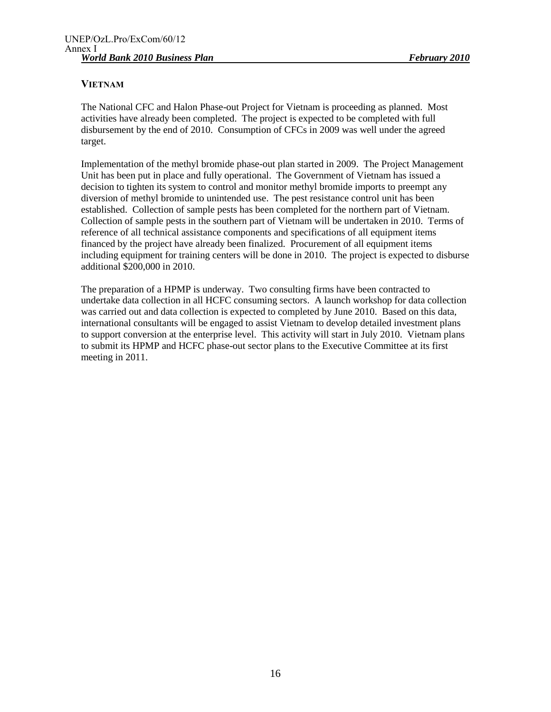# **VIETNAM**

The National CFC and Halon Phase-out Project for Vietnam is proceeding as planned. Most activities have already been completed. The project is expected to be completed with full disbursement by the end of 2010. Consumption of CFCs in 2009 was well under the agreed target.

Implementation of the methyl bromide phase-out plan started in 2009. The Project Management Unit has been put in place and fully operational. The Government of Vietnam has issued a decision to tighten its system to control and monitor methyl bromide imports to preempt any diversion of methyl bromide to unintended use. The pest resistance control unit has been established. Collection of sample pests has been completed for the northern part of Vietnam. Collection of sample pests in the southern part of Vietnam will be undertaken in 2010. Terms of reference of all technical assistance components and specifications of all equipment items financed by the project have already been finalized. Procurement of all equipment items including equipment for training centers will be done in 2010. The project is expected to disburse additional \$200,000 in 2010.

The preparation of a HPMP is underway. Two consulting firms have been contracted to undertake data collection in all HCFC consuming sectors. A launch workshop for data collection was carried out and data collection is expected to completed by June 2010. Based on this data, international consultants will be engaged to assist Vietnam to develop detailed investment plans to support conversion at the enterprise level. This activity will start in July 2010. Vietnam plans to submit its HPMP and HCFC phase-out sector plans to the Executive Committee at its first meeting in 2011.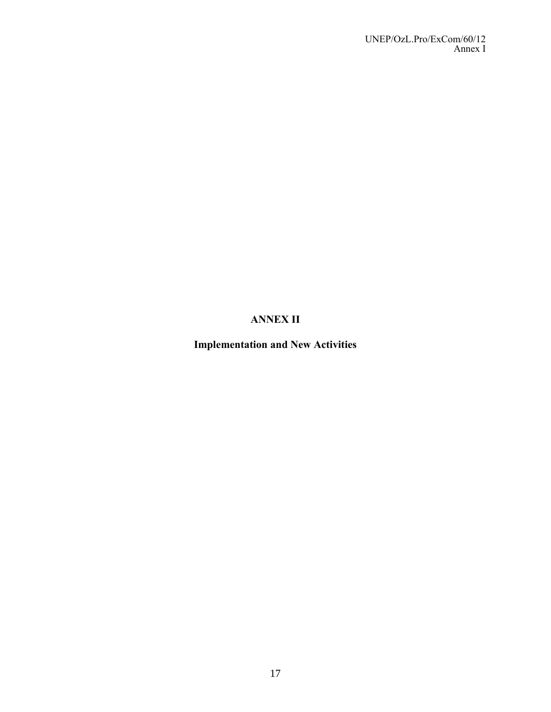# **ANNEX II**

**Implementation and New Activities**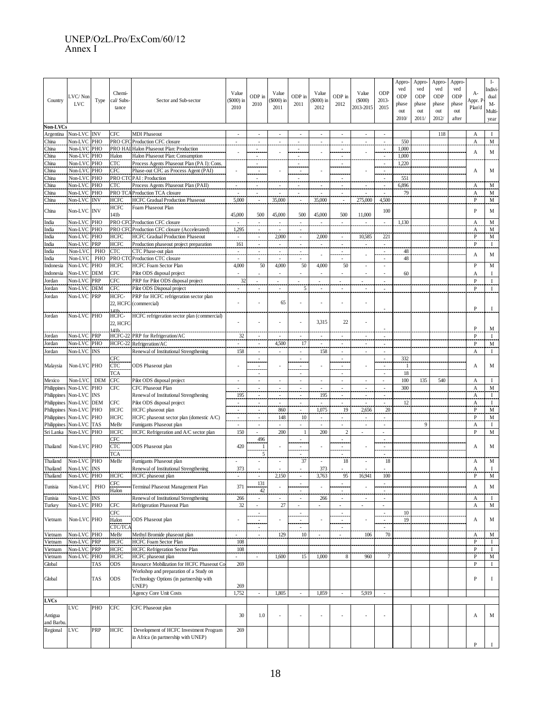#### UNEP/OzL.Pro/ExCom/60/12 Annex I

| Country<br>Non-LVCs   | VC/Non<br><b>LVC</b>   | Type       | Chemi-<br>cal/ Subs-<br>tance | \$000) in<br>Sector and Sub-sector                                                |                          | ODP in<br>2010                                                 | Value<br>\$000) in<br>2011 | ODP in<br>2011                      | Value<br>\$000) in<br>2012 | ODP in<br>2012                     | Value<br>(5000)<br>2013-2015 | ODP<br>2013-<br>2015          | Appro<br>ved<br>ODP<br>phase<br>out<br>2010/ | Appro<br>ved<br>ODP<br>phase<br>out<br>2011/ | Appro-<br>ved<br>ODP<br>phase<br>out<br>2012/ | <b>Appro-</b><br>ved<br>ODP<br>phase<br>out<br>after | А-<br>Appr. I<br>Plan'd | $\mathbf{I}$ -<br>Indivi<br>dual<br>M-<br>Multi-<br>year |
|-----------------------|------------------------|------------|-------------------------------|-----------------------------------------------------------------------------------|--------------------------|----------------------------------------------------------------|----------------------------|-------------------------------------|----------------------------|------------------------------------|------------------------------|-------------------------------|----------------------------------------------|----------------------------------------------|-----------------------------------------------|------------------------------------------------------|-------------------------|----------------------------------------------------------|
| Argentina             | <b>Non-LVC INV</b>     |            | CFC                           | <b>MDI Phaseout</b>                                                               | $\overline{\phantom{a}}$ | ÷                                                              | $\overline{\phantom{a}}$   | $\sim$                              | ÷                          | $\overline{a}$                     | ÷                            | $\sim$                        |                                              |                                              | 118                                           |                                                      | A                       | $\mathbf I$                                              |
| China                 | Non-LVC PHO            |            | PRO CFC                       | Production CFC closure                                                            | $\overline{a}$           | $\overline{\phantom{a}}$                                       | $\overline{\phantom{a}}$   | $\sim$                              |                            | ٠                                  | $\overline{\phantom{a}}$     | $\overline{\phantom{a}}$      | 550                                          |                                              |                                               |                                                      | А                       | M                                                        |
| China                 | Non-LVC PHO            |            |                               | PRO HAL Halon Phaseout Plan: Production                                           |                          | 1,000                                                          |                            |                                     |                            |                                    |                              |                               |                                              |                                              |                                               |                                                      |                         |                                                          |
| China                 | Non-LVC PHO            |            | Halon                         | Halon Phaseout Plan: Consumption                                                  |                          |                                                                |                            |                                     |                            |                                    |                              |                               | 1,000                                        |                                              |                                               |                                                      | А                       | M                                                        |
| China                 | Non-LVC                | PHO        | <b>CTC</b>                    | Process Agents Phaseout Plan (PA I): Cons.                                        |                          |                                                                |                            |                                     |                            |                                    |                              |                               | 1.220                                        |                                              |                                               |                                                      |                         |                                                          |
| China                 | Non-LVC                | PHO        | CFC                           | Phase-out CFC as Process Agent (PAI)                                              |                          | $\overline{\phantom{a}}$                                       |                            | $\sim$                              |                            |                                    |                              | $\overline{\phantom{a}}$      |                                              |                                              |                                               |                                                      | А                       | М                                                        |
| China                 | Non-LV                 | PHO        | PRO CTC                       | PAI: Production                                                                   |                          |                                                                |                            |                                     |                            |                                    |                              |                               | 551                                          |                                              |                                               |                                                      |                         |                                                          |
| China                 | Non-LVC                | PHO        | CTC                           | Process Agents Phaseout Plan (PAII)                                               |                          | $\sim$                                                         |                            | $\sim$                              |                            | $\sim$                             | $\sim$                       | $\sim$                        | 6,896                                        |                                              |                                               |                                                      | А                       | M                                                        |
| China<br>China        | Non-LVC<br>Non-LVC INV | PHO        | PRO TC<br>HCFC                | Production TCA closure<br><b>HCFC Gradual Production Phaseout</b>                 | 5,000                    |                                                                | 35,000                     |                                     | 35,000                     |                                    | 275,000                      | 4,500                         | 79                                           |                                              |                                               |                                                      | А<br>P                  | M<br>M                                                   |
|                       |                        |            | HCFC                          | Foam Phaseout Plan                                                                |                          |                                                                |                            | $\sim$                              |                            |                                    |                              |                               |                                              |                                              |                                               |                                                      |                         |                                                          |
| China                 | Non-LVC INV            |            | 141 <b>b</b>                  |                                                                                   | 45,000                   | 500                                                            | 45,000                     | 500                                 | 45,000                     | 500                                | 11,000                       | 100                           |                                              |                                              |                                               |                                                      | P                       | M                                                        |
| India                 | Non-LVC PHO            |            | PRO CFC                       | Production CFC closure                                                            |                          | ż                                                              |                            | j.                                  |                            | $\overline{\phantom{a}}$           | $\overline{\phantom{a}}$     | ÷.                            | 1,130                                        |                                              |                                               |                                                      | А                       | M                                                        |
| India                 | Non-LVC PHO            |            | PRO CFC                       | Production CFC closure (Accelerated)                                              | 1,295                    | $\overline{\phantom{a}}$                                       |                            | ż,                                  |                            |                                    |                              |                               |                                              |                                              |                                               |                                                      | А                       | M                                                        |
| India                 | Non-LVC                | PHO        | <b>HCFC</b>                   | <b>HCFC Gradual Production Phaseout</b>                                           | $\sim$                   | $\sim$                                                         | 2,000                      | $\sim$                              | 2,000                      | $\sim$                             | 10,585                       | 221                           |                                              |                                              |                                               |                                                      | P                       | M                                                        |
| India                 | Non-LVC                | PRP        | <b>HCFC</b>                   | Production phaseout project preparation                                           | 161                      | $\overline{\phantom{a}}$                                       |                            | $\blacksquare$                      | $\sim$                     | $\overline{\phantom{a}}$           | ÷                            | $\blacksquare$                |                                              |                                              |                                               |                                                      | P                       | $\bf{I}$                                                 |
| India                 | Non-LVC                | PHC        | <b>CTC</b>                    | CTC Phase-out plan                                                                | ż,                       |                                                                |                            | ž.                                  |                            | ż,                                 |                              | $\overline{\phantom{a}}$      | 48                                           |                                              |                                               |                                                      | А                       | M                                                        |
| India                 | Non-LVC                | PHO        | PRO CTO                       | Production CTC closure                                                            | ٠                        |                                                                |                            | ٠                                   |                            |                                    |                              | ٠                             | 48                                           |                                              |                                               |                                                      |                         |                                                          |
| Indonesia             | Non-LVC                | PHO        | HCFC                          | <b>HCFC</b> Foam Sector Plan                                                      | 4,000                    | 50                                                             | 4,000                      | 50                                  | 4,000                      | 50                                 |                              |                               |                                              |                                              |                                               |                                                      | $\mathbf{P}$            | M                                                        |
| Indonesia             | Non-LVC                | <b>DEM</b> | CFC                           | Pilot ODS disposal project                                                        |                          |                                                                |                            | $\overline{\phantom{a}}$            |                            |                                    | $\overline{\phantom{a}}$     | ÷,                            | 60                                           |                                              |                                               |                                                      | Α                       | I                                                        |
| Jordan                | Non-LVC                | <b>PRP</b> | <b>CFC</b>                    | PRP for Pilot ODS disposal project                                                | 32                       | $\sim$                                                         | ٠                          |                                     | ٠                          | ÷,                                 | $\sim$                       | ÷,                            |                                              |                                              |                                               |                                                      | P                       | $\mathbf I$                                              |
| Jordan                | Non-LVC                | <b>DEM</b> | CFC                           | Pilot ODS Disposal project                                                        |                          |                                                                |                            | 5                                   |                            |                                    |                              |                               |                                              |                                              |                                               |                                                      | P                       | $\mathbf I$                                              |
| Jordan                | Non-LVC PRP            |            | HCFC-<br>22, HCFC<br>141b.    | PRP for HCFC refrigeration sector plan<br>(commercial)                            |                          |                                                                | 65                         | ÷                                   |                            |                                    |                              |                               |                                              |                                              |                                               |                                                      | P                       | Т                                                        |
| Jordan                | Non-LVC PHO            |            | HCFC-<br>22, HCFC             | HCFC refrigeration sector plan (commercial)                                       |                          |                                                                |                            |                                     | 3,315                      | 22                                 |                              |                               |                                              |                                              |                                               |                                                      |                         |                                                          |
|                       |                        |            | 141b                          |                                                                                   |                          |                                                                |                            |                                     |                            |                                    |                              |                               |                                              |                                              |                                               |                                                      | P                       | M                                                        |
| Jordan                | Non-LVC PRP            |            | HCFC-22                       | PRP for Refrigeration/AC                                                          | 32                       |                                                                |                            | ÷                                   |                            |                                    |                              |                               |                                              |                                              |                                               |                                                      | $\mathsf{P}$            | $\mathbf I$                                              |
| Jordan                | Non-LVC PHO            |            | HCFC-22                       | Refrigeration/AC                                                                  | $\overline{\phantom{a}}$ | $\overline{\phantom{a}}$                                       | 4,500                      | 17                                  | $\sim$                     | $\sim$                             | $\sim$                       | ÷                             |                                              |                                              |                                               |                                                      | $\mathbf{P}$            | $\mathbf M$                                              |
| Jordan                | Non-LVC INS            |            |                               | Renewal of Institutional Strengthening                                            | 158                      | $\sim$                                                         | ٠                          | $\sim$                              | 158                        | ٠                                  | ٠                            | ٠                             |                                              |                                              |                                               |                                                      | А                       | $\mathbf I$                                              |
| Malaysia              | Non-LVC PHO            |            | CFC<br><b>CTC</b><br>TCA      | <b>ODS</b> Phaseout plan                                                          |                          | $\overline{\phantom{a}}$<br>$\sim$<br>$\overline{\phantom{a}}$ |                            | i,<br>$\overline{\phantom{a}}$<br>÷ |                            | $\overline{\phantom{a}}$           |                              | $\overline{\phantom{a}}$<br>÷ | 332<br>-1<br>18                              |                                              |                                               |                                                      | А                       | M                                                        |
| Mexico                | Non-LVC                | <b>DEM</b> | CFC                           | Pilot ODS disposal project                                                        | $\overline{a}$           | ÷,                                                             | $\overline{\phantom{a}}$   | $\sim$                              |                            | $\overline{a}$                     | $\overline{a}$               | $\overline{a}$                | 100                                          | 135                                          | 540                                           |                                                      | А                       | $\mathbf I$                                              |
| Philippines           | Non-LVC PHO            |            | <b>CFC</b>                    | <b>CFC Phaseout Plan</b>                                                          | $\overline{\phantom{a}}$ | $\sim$                                                         | $\overline{\phantom{a}}$   | $\omega$                            | $\sim$                     | $\overline{\phantom{a}}$           | $\bar{\phantom{a}}$          | $\mathbb{Z}^2$                | 300                                          |                                              |                                               |                                                      | $\boldsymbol{\rm{A}}$   | M                                                        |
| Philippines           | Non-LVC INS            |            |                               | Renewal of Institutional Strengthening                                            | 195                      |                                                                |                            | $\blacksquare$                      | 195                        |                                    |                              |                               |                                              |                                              |                                               |                                                      | А                       | -1                                                       |
| Philippines           | Non-LVC DEM            |            | CFC                           | Pilot ODS disposal project                                                        | $\sim$                   | $\sim$                                                         | $\sim$                     | $\sim$                              | $\sim$                     | $\sim$                             | $\sim$                       | $\sim$                        | 12                                           |                                              |                                               |                                                      | А                       | $\bf{I}$                                                 |
| Philippines           | Non-LVC PHO            |            | <b>HCFC</b>                   | HCFC phaseout plan                                                                |                          |                                                                | 860                        |                                     | 1,075                      | 19                                 | 2,656                        | 20                            |                                              |                                              |                                               |                                                      | $\mathbf{P}$            | $\mathbf M$                                              |
| Philippines           | Non-LVC PHO            |            | <b>HCFC</b>                   | HCFC phaseout sector plan (domestic A/C)                                          | ż,                       | $\sim$                                                         | 148                        | 10                                  |                            |                                    | $\sim$                       |                               |                                              |                                              |                                               |                                                      | $\mathbf{P}$            | $\mathbf M$                                              |
| Philippines           | Non-LVC TAS            |            | MeBr                          | Fumigants Phaseout plan                                                           | $\overline{\phantom{a}}$ | $\overline{\phantom{a}}$                                       | $\sim$                     | $\sim$                              | $\overline{\phantom{a}}$   | ٠                                  | $\sim$                       | ÷                             |                                              | 9                                            |                                               |                                                      | А                       | -1                                                       |
| Sri Lanka             | Non-LVC PHO            |            | <b>HCFC</b>                   | HCFC Refrigeration and A/C sector plan                                            | 150                      |                                                                | 200                        | $\mathbf{1}$                        | 200                        | $\overline{2}$                     | $\sim$                       | ÷,                            |                                              |                                              |                                               |                                                      | P                       | $\mathbf M$                                              |
|                       | Non-LVC PHO            |            | CFC                           |                                                                                   |                          | 496                                                            |                            | ä,                                  |                            |                                    |                              |                               |                                              |                                              |                                               |                                                      |                         |                                                          |
| Thailand              |                        |            | <b>CTC</b>                    | <b>ODS</b> Phaseout plan                                                          | 420                      | $\mathbf{1}$<br>5                                              |                            | $\sim$                              |                            | $\overline{\phantom{a}}$           |                              | ÷                             |                                              |                                              |                                               |                                                      | А                       | M                                                        |
| Thailand              | Non-LVC PHO            |            | TCA<br>MeBr                   | Fumigants Phaseout plan                                                           |                          |                                                                |                            | ٠<br>37                             |                            | ٠<br>18                            |                              | $\overline{a}$<br>18          |                                              |                                              |                                               |                                                      | А                       | M                                                        |
| Thailand              | Non-LVC INS            |            |                               | Renewal of Institutional Strengthening                                            | 373                      |                                                                |                            |                                     | 373                        |                                    |                              |                               |                                              |                                              |                                               |                                                      | А                       | $\mathbf{I}$                                             |
| Thailand              | Non-LVC PHO            |            | HCFC                          | HCFC phaseout plan                                                                | $\overline{\phantom{a}}$ |                                                                | 2,150                      | $\overline{\phantom{a}}$            | 3,763                      | 95                                 | 16,941                       | 100                           |                                              |                                              |                                               |                                                      | P                       | $\mathbf M$                                              |
|                       |                        |            | CFC                           |                                                                                   |                          | 131                                                            |                            | $\overline{\phantom{a}}$            |                            |                                    |                              | $\overline{\phantom{a}}$      |                                              |                                              |                                               |                                                      |                         |                                                          |
| Tunisia               | Non-LVC                | PHO        | Halon                         | Terminal Phaseout Management Plan                                                 | 371                      | 42                                                             |                            |                                     |                            |                                    |                              |                               |                                              |                                              |                                               |                                                      | А                       | M                                                        |
| Tunisia               | Non-LVC INS            |            |                               | Renewal of Institutional Strengthening                                            | 266                      |                                                                |                            | $\sim$                              | 266                        | ٠                                  | $\sim$                       | $\overline{\phantom{a}}$      |                                              |                                              |                                               |                                                      | А                       | $\bf{I}$                                                 |
| Turkey                | Non-LVC PHO            |            | <b>CFC</b>                    | Refrigeration Phaseout Plan                                                       | 32                       | $\sim$                                                         | 27                         | $\sim$                              | $\blacksquare$             | $\blacksquare$                     | $\blacksquare$               | $\blacksquare$                |                                              |                                              |                                               |                                                      | A                       | M                                                        |
| Vietnam               | Non-LVC PHO            |            | CFC<br>Halon                  | <b>ODS</b> Phaseout plan                                                          |                          | $\overline{\phantom{a}}$<br>$\sim$                             |                            | $\overline{\phantom{a}}$<br>$\sim$  |                            | $\overline{\phantom{a}}$<br>$\sim$ |                              | ٠                             | 10<br>19                                     |                                              |                                               |                                                      | А                       | M                                                        |
|                       | Non-LVC PHO            |            | CTC/TCA<br>MeBr               | Methyl Bromide phaseout plan                                                      |                          | $\overline{\phantom{a}}$                                       | 129                        | $\overline{\phantom{a}}$<br>10      |                            | $\overline{\phantom{a}}$           | 106                          | 70                            |                                              |                                              |                                               |                                                      |                         | M                                                        |
| Vietnam<br>Vietnam    | Non-LVC PRP            |            | <b>HCFC</b>                   | HCFC Foam Sector Plan                                                             | 108                      |                                                                |                            |                                     |                            |                                    |                              |                               |                                              |                                              |                                               |                                                      | A<br>$\mathbf{P}$       | $\;$ I                                                   |
| Vietnam               | Non-LVC PRP            |            | HCFC                          | <b>HCFC</b> Refrigeration Sector Plan                                             | 108                      |                                                                |                            |                                     |                            |                                    |                              |                               |                                              |                                              |                                               |                                                      | P                       | $\mathbf I$                                              |
| Vietnam               | Non-LVC PHO            |            | <b>HCFC</b>                   | HCFC phaseout plan                                                                |                          |                                                                | 1,600                      | 15                                  | 1,000                      | 8                                  | 960                          |                               |                                              |                                              |                                               |                                                      | $\, {\bf P}$            | M                                                        |
| Global                |                        | TAS        | ODS                           | Resource Mobilization for HCFC Phaseout Co                                        | 269                      |                                                                |                            |                                     |                            |                                    |                              |                               |                                              |                                              |                                               |                                                      | $\mathbf{P}$            | $\mathbf{I}$                                             |
| Global                |                        | TAS        | ODS                           | Workshop and preparation of a Study on<br>Technology Options (in partnership with |                          |                                                                |                            |                                     |                            |                                    |                              |                               |                                              |                                              |                                               |                                                      | $\, {\bf P}$            | $\bf{I}$                                                 |
|                       |                        |            |                               | UNEP)                                                                             | 269<br>1,752             |                                                                | 1,805                      |                                     | 1,859                      |                                    | 5,919                        |                               |                                              |                                              |                                               |                                                      |                         |                                                          |
| <b>LVCs</b>           |                        |            |                               | <b>Agency Core Unit Costs</b>                                                     |                          |                                                                |                            |                                     |                            |                                    |                              |                               |                                              |                                              |                                               |                                                      |                         |                                                          |
|                       | LVC                    | PHO        | CFC                           | CFC Phaseout plan                                                                 |                          |                                                                |                            |                                     |                            |                                    |                              |                               |                                              |                                              |                                               |                                                      |                         |                                                          |
| Antigua<br>and Barbu. |                        |            |                               |                                                                                   | 30                       | 1.0                                                            |                            |                                     |                            |                                    |                              |                               |                                              |                                              |                                               |                                                      | A                       | M                                                        |
| Regional              | LVC                    | PRP        | <b>HCFC</b>                   | Development of HCFC Investment Program<br>in Africa (in partnership with UNEP)    | 269                      |                                                                |                            |                                     |                            |                                    |                              |                               |                                              |                                              |                                               |                                                      |                         |                                                          |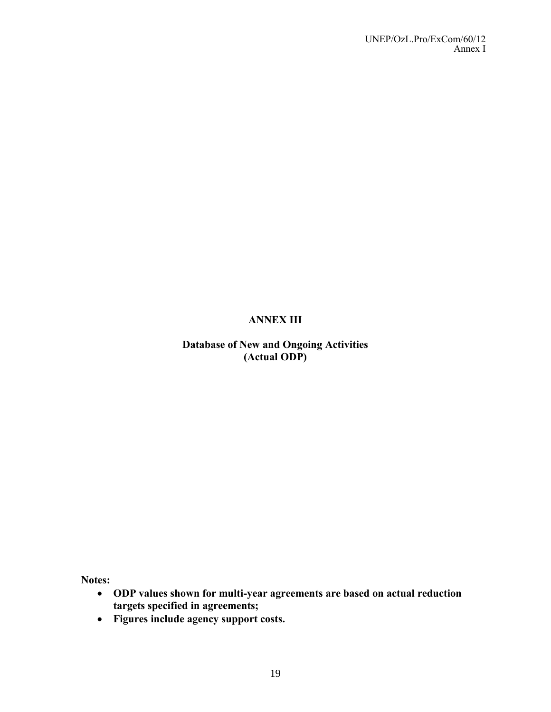# **ANNEX III**

# **Database of New and Ongoing Activities (Actual ODP)**

**Notes:**

- **ODP values shown for multi-year agreements are based on actual reduction targets specified in agreements;**
- **Figures include agency support costs.**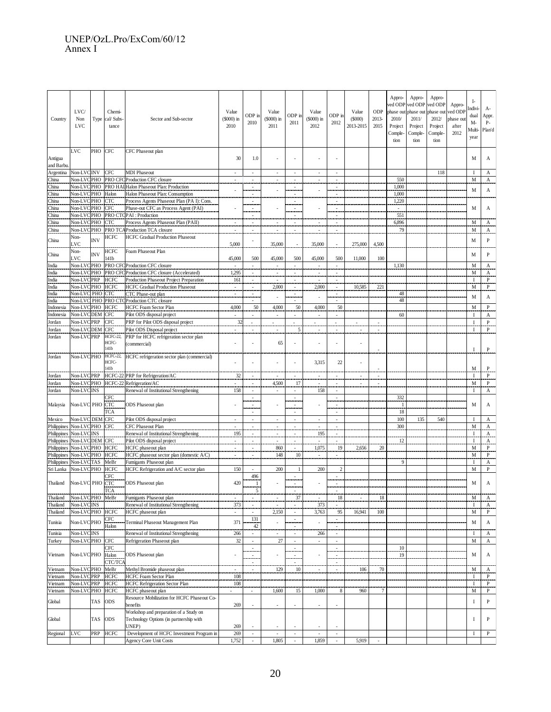#### UNEP/OzL.Pro/ExCom/60/12 Annex I

| Country                   | LVC/<br>Non<br><b>LVC</b> | Type       | Chemi-<br>cal/ Subs-<br>tance | Sector and Sub-sector                                                             | Value<br>$$000$ ) in<br>2010 | ODP in<br>2010                                       | Value<br>$$000$ ) in<br>2011  | ODP in<br>2011                                                                   | Value<br>(\$000) in<br>2012 | ODP in<br>2012                             | Value<br>(S000)<br>2013-2015 | ODP<br>$2013 -$<br>2015 | Appro-<br>2010/<br>Project<br>Comple-<br>tion | Appro-<br>ved ODP ved ODP<br>phase out phase out<br>2011/<br>Project<br>Comple-<br>tion | Appro-<br>ved ODP<br>phase out<br>2012/<br>Project<br>Comple-<br>tion | Appro-<br>ved ODP<br>phase out<br>after<br>2012 | I-<br>Indivi-<br>dual<br>M-<br>Multi-<br>year | A-<br>Appr.<br>P-<br>Plan'd |
|---------------------------|---------------------------|------------|-------------------------------|-----------------------------------------------------------------------------------|------------------------------|------------------------------------------------------|-------------------------------|----------------------------------------------------------------------------------|-----------------------------|--------------------------------------------|------------------------------|-------------------------|-----------------------------------------------|-----------------------------------------------------------------------------------------|-----------------------------------------------------------------------|-------------------------------------------------|-----------------------------------------------|-----------------------------|
| Antigua<br>and Barbu.     | LVC                       | PHO        | <b>CFC</b>                    | CFC Phaseout plan                                                                 | 30                           | 1.0                                                  |                               |                                                                                  |                             |                                            |                              |                         |                                               |                                                                                         |                                                                       |                                                 | М                                             | А                           |
| Argentina                 | Non-LVCINV                |            | <b>CFC</b>                    | <b>MDI</b> Phaseout                                                               |                              |                                                      | ÷.                            |                                                                                  |                             | ÷.                                         |                              |                         |                                               |                                                                                         | 118                                                                   |                                                 | $\mathbf{I}$                                  | А                           |
| China<br>China            | Non-LVCPHO<br>Non-LVCPHO  |            |                               | PRO CFC Production CFC closure<br>PRO HAI Halon Phaseout Plan: Production         | $\bar{\phantom{a}}$          | $\sim$                                               | $\bar{\phantom{a}}$           | $\overline{\phantom{a}}$                                                         | ÷.                          | $\Box$                                     |                              |                         | 550<br>1,000                                  |                                                                                         |                                                                       |                                                 | M                                             | A                           |
| China                     | Non-LVC PHO               |            | Halon                         | Halon Phaseout Plan: Consumption                                                  |                              | Ż,<br>$\sim$                                         |                               | $\overline{\phantom{a}}$<br>÷                                                    |                             | ż.<br>$\sim$                               |                              |                         | 1,000                                         |                                                                                         |                                                                       |                                                 | M                                             | A                           |
| China                     | Non-LVC PHO               |            | <b>CTC</b>                    | Process Agents Phaseout Plan (PA I): Cons.                                        |                              | $\overline{\phantom{a}}$                             |                               | $\overline{\phantom{a}}$                                                         |                             | $\bar{\phantom{a}}$                        |                              |                         | 1,220                                         |                                                                                         |                                                                       |                                                 |                                               |                             |
| China                     | Non-LVC PHO               |            | CFC                           | Phase-out CFC as Process Agent (PAI)                                              |                              | ٠.                                                   |                               | $\overline{\phantom{a}}$                                                         |                             |                                            |                              |                         | $\overline{\phantom{a}}$                      |                                                                                         |                                                                       |                                                 | M                                             | A                           |
| China                     | Non-LVCPHO                |            |                               | PRO CTCPAI : Production                                                           |                              | $\sim$                                               |                               | $\sim$                                                                           |                             | ÷                                          |                              |                         | 551                                           |                                                                                         |                                                                       |                                                 |                                               |                             |
| China                     | Non-LVCPHO                |            | <b>CTC</b>                    | Process Agents Phaseout Plan (PAII)                                               | ż,                           | ż,                                                   | Ż,                            | $\overline{\phantom{a}}$                                                         | ż,                          | ż,                                         |                              |                         | 6,896                                         |                                                                                         |                                                                       |                                                 | M                                             | A                           |
| China                     | Non-LVCPHO                |            |                               | PRO TCA Production TCA closure                                                    |                              |                                                      |                               |                                                                                  |                             |                                            |                              |                         | 79                                            |                                                                                         |                                                                       |                                                 | M                                             | A                           |
| China                     | Non-                      | <b>INV</b> | <b>HCFC</b>                   | <b>HCFC Gradual Production Phaseout</b>                                           |                              | $\overline{\phantom{a}}$                             |                               |                                                                                  |                             |                                            |                              |                         |                                               |                                                                                         |                                                                       |                                                 | М                                             | $\, {\bf p}$                |
|                           | LVC                       |            |                               |                                                                                   | 5,000                        |                                                      | 35,000                        |                                                                                  | 35,000                      | ÷                                          | 275,000                      | 4,500                   |                                               |                                                                                         |                                                                       |                                                 |                                               |                             |
| China                     | Non-<br>LVC               | <b>INV</b> | HCFC                          | Foam Phaseout Plan                                                                |                              |                                                      |                               |                                                                                  |                             |                                            |                              |                         |                                               |                                                                                         |                                                                       |                                                 | М                                             | $\, {\bf P}$                |
| India                     | Non-LVCPHO                |            | 141b                          | PRO CFC Production CFC closure                                                    | 45,000<br>$\sim$             | 500                                                  | 45,000                        | 500                                                                              | 45,000                      | 500                                        | 11,000                       | 100                     | 1,130                                         |                                                                                         |                                                                       |                                                 | M                                             | A                           |
| India                     | Non-LVCPHO                |            |                               | PRO CFC Production CFC closure (Accelerated)                                      | 1,295                        | $\overline{\phantom{a}}$                             | ż.                            | $\overline{\phantom{a}}$                                                         | $\overline{\phantom{a}}$    | $\bar{\gamma}$                             |                              |                         |                                               |                                                                                         |                                                                       |                                                 | M                                             | $\mathbf A$                 |
| India                     | Non-LVCPRP                |            | <b>HCFC</b>                   | Production Phaseout Project Preparation                                           | 161                          | $\overline{\phantom{a}}$                             |                               |                                                                                  |                             | ż,                                         |                              |                         |                                               |                                                                                         |                                                                       |                                                 | I                                             | $\mathbf{P}$                |
| India                     | Non-LVCPHO                |            | <b>HCFC</b>                   | <b>HCFC Gradual Production Phaseout</b>                                           | $\sim$                       | $\sim$                                               | 2,000                         | $\sim$                                                                           | 2,000                       | $\sim$                                     | 10,585                       | 221                     |                                               |                                                                                         |                                                                       |                                                 | M                                             | $\mathbf{P}$                |
| India                     | Non-LVC PHO               |            | <b>CTC</b>                    | CTC Phase-out plan                                                                |                              | $\overline{\phantom{a}}$                             |                               |                                                                                  |                             | $\sim$                                     |                              |                         | 48                                            |                                                                                         |                                                                       |                                                 |                                               |                             |
| India                     | Non-LVC PHO               |            |                               | PRO CTC Production CTC closure                                                    |                              | $\overline{\phantom{a}}$                             |                               | $\overline{\phantom{a}}$                                                         | $\bar{\phantom{a}}$         | $\overline{\phantom{a}}$                   |                              |                         | $\overline{48}$                               |                                                                                         |                                                                       |                                                 | M                                             | A                           |
| Indonesia                 | Non-LVCPHO                |            | <b>HCFC</b>                   | <b>HCFC Foam Sector Plan</b>                                                      | 4,000                        | 50                                                   | 4,000                         | 50                                                                               | 4,000                       | 50                                         |                              |                         |                                               |                                                                                         |                                                                       |                                                 | M                                             | $\mathbf{P}$                |
| Indonesia                 | Non-LVCDEM                |            | <b>CFC</b>                    | Pilot ODS disposal project                                                        | $\sim$                       | $\overline{\phantom{a}}$                             | $\sim$                        | $\sim$                                                                           | $\sim$                      | $\sim$                                     |                              |                         | 60                                            |                                                                                         |                                                                       |                                                 | 1                                             | А                           |
| Jordan                    | Non-LVCPRP                |            | CFC                           | PRP for Pilot ODS disposal project                                                | 32                           |                                                      |                               |                                                                                  |                             | ÷                                          |                              |                         |                                               |                                                                                         |                                                                       |                                                 | I                                             | P                           |
| Jordan                    | Non-LVCDEM                |            | CFC                           | Pilot ODS Disposal project                                                        | $\overline{\phantom{a}}$     | ٠                                                    | $\overline{\phantom{a}}$      | 5                                                                                | ٠                           | $\overline{\phantom{a}}$                   |                              |                         |                                               |                                                                                         |                                                                       |                                                 | 1                                             | P                           |
| Jordan                    | Non-LVCPRP                |            | HCFC-22<br>HCFC-<br>141b      | PRP for HCFC refrigeration sector plan<br>(commercial)                            |                              | ÷,                                                   | 65                            |                                                                                  | $\overline{\phantom{a}}$    | ÷,                                         | ÷,                           |                         |                                               |                                                                                         |                                                                       |                                                 | I                                             | $\mathbf{P}$                |
| Jordan                    | Non-LVCPHO                |            | HCFC-22<br>HCFC-<br>141b      | HCFC refrigeration sector plan (commercial)                                       |                              | ÷,                                                   |                               | ÷,                                                                               | 3,315                       | 22                                         | L,                           |                         |                                               |                                                                                         |                                                                       |                                                 | M                                             | P                           |
| Jordan                    | Non-LVCPRP                |            |                               | HCFC-22 PRP for Refrigeration/AC                                                  | 32                           |                                                      |                               |                                                                                  |                             | $\overline{\phantom{a}}$                   |                              |                         |                                               |                                                                                         |                                                                       |                                                 | $\mathbf I$                                   | P                           |
| Jordan                    | Non-LVCPHO                |            |                               | HCFC-22 Refrigeration/AC                                                          |                              |                                                      | 4,500                         | 17                                                                               |                             | $\overline{\phantom{a}}$                   |                              |                         |                                               |                                                                                         |                                                                       |                                                 | M                                             | P                           |
| Jordan                    | Non-LVCINS                |            |                               | Renewal of Institutional Strengthening                                            | 158                          | $\mathcal{L}_{\mathcal{A}}$                          | $\sim$                        | $\mathcal{L}_{\mathcal{A}}$                                                      | 158                         | $\mathcal{L}$                              |                              |                         |                                               |                                                                                         |                                                                       |                                                 | <b>I</b>                                      | А                           |
| Malaysia                  | Non-LVC PHO               |            | CFC<br><b>CTC</b><br>TCA      | ODS Phaseout plan                                                                 |                              | $\sim$<br>÷<br>$\sim$                                |                               | $\overline{\phantom{a}}$<br>$\overline{\phantom{a}}$<br>$\overline{\phantom{a}}$ |                             | $\sim$<br>$\blacksquare$<br>$\sim$         |                              |                         | 332<br>$\mathbf{1}$<br>18                     |                                                                                         |                                                                       |                                                 | M                                             | А                           |
| Mexico                    | Non-LVC DEM               |            | <b>CFC</b>                    | Pilot ODS disposal project                                                        | $\sim$                       | $\sim$                                               | $\sim$                        | $\sim$                                                                           | $\sim$                      | ÷.                                         |                              |                         | 100                                           | 135                                                                                     | 540                                                                   |                                                 | I                                             | A                           |
| Philippines               | Non-LVCPHO                |            | <b>CFC</b>                    | CFC Phaseout Plan                                                                 |                              | L.                                                   | ż,                            | $\overline{\phantom{a}}$                                                         |                             | ÷.                                         |                              |                         | 300                                           |                                                                                         |                                                                       |                                                 | M                                             | A                           |
| Philippines Non-LVCINS    |                           |            |                               | Renewal of Institutional Strengthening                                            | 195                          | $\sim$                                               | $\bar{\phantom{a}}$           | $\overline{\phantom{a}}$                                                         | 195                         | $\sim$                                     |                              |                         |                                               |                                                                                         |                                                                       |                                                 | 1                                             | A                           |
| Philippines Non-LVCDEM    |                           |            | <b>CFC</b>                    | Pilot ODS disposal project                                                        | $\sim$                       | $\overline{\phantom{a}}$                             | $\overline{\phantom{a}}$      | $\sim$                                                                           | $\overline{\phantom{a}}$    | $\sim$                                     |                              |                         | 12                                            |                                                                                         |                                                                       |                                                 | $\bf I$                                       | A                           |
| Philippines Non-LVCPHO    |                           |            | <b>HCFC</b>                   | HCFC phaseout plan                                                                |                              |                                                      | 860                           |                                                                                  | 1,075                       | 19                                         | 2,656                        | 20                      |                                               |                                                                                         |                                                                       |                                                 | M                                             | $\mathbf{P}$                |
| Philippines Non-LVCPHO    |                           |            | <b>HCFC</b>                   | HCFC phaseout sector plan (domestic A/C)                                          |                              | $\overline{\phantom{a}}$                             | 148                           | 10                                                                               | $\sim$                      | $\sim$                                     |                              |                         |                                               |                                                                                         |                                                                       |                                                 | M                                             | P                           |
| Philippines Non-LVCTAS    |                           |            | MeBr                          | Fumigants Phaseout plan                                                           |                              |                                                      |                               |                                                                                  |                             |                                            |                              |                         | 9                                             |                                                                                         |                                                                       |                                                 | I                                             | A                           |
| Sri Lanka Non-LVCPHO HCFC |                           |            | CFC                           | HCFC Refrigeration and A/C sector plan                                            | 150                          | $\overline{a}$<br>496                                | 200                           | $\mathbf{1}$                                                                     | 200                         | $\overline{2}$                             |                              |                         |                                               |                                                                                         |                                                                       |                                                 | M                                             | $\mathbf{P}$                |
| Thailand                  | Non-LVC PHO               |            | <b>CTC</b>                    | <b>ODS</b> Phaseout plan                                                          | 420                          | $\,1\,$                                              |                               | $\sim$                                                                           |                             | $\blacksquare$<br>$\overline{\phantom{a}}$ |                              |                         |                                               |                                                                                         |                                                                       |                                                 | М                                             | А                           |
|                           |                           |            | <b>TCA</b>                    |                                                                                   |                              | 5                                                    |                               |                                                                                  |                             | ×.                                         |                              |                         |                                               |                                                                                         |                                                                       |                                                 |                                               |                             |
| Thailand                  | Non-LVCPHO                |            | MeBr                          | Fumigants Phaseout plan                                                           | $\overline{\phantom{a}}$     | ÷                                                    | ż,                            | 37                                                                               |                             | $18\,$                                     | ÷,                           | 18                      |                                               |                                                                                         |                                                                       |                                                 | M                                             | A                           |
| Thailand                  | Non-LVCINS                |            |                               | Renewal of Institutional Strengthening                                            | 373                          |                                                      |                               |                                                                                  | 373                         |                                            |                              |                         |                                               |                                                                                         |                                                                       |                                                 | $\bf I$                                       | A                           |
| Thailand                  | Non-LVCPHO                |            | <b>HCFC</b>                   | HCFC phaseout plan                                                                | ÷                            | $\sim$                                               | 2,150                         | $\sim$                                                                           | 3,763                       | 95                                         | 16,941                       | 100                     |                                               |                                                                                         |                                                                       |                                                 | M                                             | $\mathbf{P}$                |
| Tunisia                   | Non-LVC PHO               |            | CFC<br>Halon                  | Terminal Phaseout Management Plan                                                 | 371                          | 131<br>42                                            |                               | $\sim$<br>٠                                                                      |                             | $\sim$<br>$\overline{\phantom{a}}$         |                              |                         |                                               |                                                                                         |                                                                       |                                                 | M                                             | A                           |
| Tunisia                   | Non-LVCINS<br>Non-LVCPHO  |            | <b>CFC</b>                    | Renewal of Institutional Strengthening                                            | 266<br>$32\,$                | $\mathcal{L}_{\mathcal{A}}$                          | $\bar{\phantom{a}}$<br>$27\,$ | $\mathcal{L}_{\mathcal{A}}$                                                      | 266                         | $\omega$<br>$\sim$                         |                              |                         |                                               |                                                                                         |                                                                       |                                                 | 1<br>M                                        | A                           |
| Turkey                    |                           |            | CFC                           | Refrigeration Phaseout plan                                                       |                              | $\mathbb{Z}^2$                                       |                               | $\mathcal{L}_{\mathcal{A}}$                                                      | $\sim$                      | $\bar{\phantom{a}}$                        |                              |                         | 10                                            |                                                                                         |                                                                       |                                                 |                                               | A                           |
| Vietnam                   | Non-LVC PHO               |            | Halon<br>CTC/TCA              | <b>ODS</b> Phaseout plan                                                          |                              | $\overline{\phantom{a}}$<br>$\overline{\phantom{a}}$ |                               | $\overline{\phantom{a}}$<br>$\overline{\phantom{a}}$                             |                             | $\sim$<br>$\sim$                           |                              |                         | 19                                            |                                                                                         |                                                                       |                                                 | М                                             | A                           |
| Vietnam                   | Non-LVCPHO                |            | MeBr                          | Methyl Bromide phaseout plan                                                      |                              |                                                      | 129                           | 10                                                                               |                             |                                            | 106                          | 70                      |                                               |                                                                                         |                                                                       |                                                 | M                                             | A                           |
| Vietnam                   | Non-LVCPRP                |            | <b>HCFC</b>                   | HCFC Foam Sector Plan                                                             | 108                          |                                                      |                               |                                                                                  |                             |                                            |                              |                         |                                               |                                                                                         |                                                                       |                                                 | Ι                                             | $\mathbf{P}$                |
| Vietnam                   | Non-LVCPRP                |            | <b>HCFC</b>                   | HCFC Refrigeration Sector Plan                                                    | 108                          |                                                      |                               |                                                                                  |                             |                                            |                              |                         |                                               |                                                                                         |                                                                       |                                                 | $\bf I$                                       | P                           |
| Vietnam                   | Non-LVCPHO                |            | <b>HCFC</b>                   | HCFC phaseout plan                                                                |                              |                                                      | 1,600                         | 15                                                                               | 1,000                       | $\,$ 8 $\,$                                | 960                          | $\overline{7}$          |                                               |                                                                                         |                                                                       |                                                 | M                                             | $\mathbf{P}$                |
| Global                    |                           | TAS        | <b>ODS</b>                    | Resource Mobilization for HCFC Phaseout Co-                                       |                              |                                                      |                               |                                                                                  |                             |                                            |                              |                         |                                               |                                                                                         |                                                                       |                                                 | $\bf I$                                       | $\, {\bf P}$                |
|                           |                           |            |                               | benefits                                                                          | 269                          |                                                      |                               |                                                                                  | $\overline{\phantom{a}}$    | ÷,                                         |                              |                         |                                               |                                                                                         |                                                                       |                                                 |                                               |                             |
| Global                    |                           | TAS        | ODS                           | Workshop and preparation of a Study on<br>Technology Options (in partnership with |                              |                                                      |                               |                                                                                  |                             |                                            |                              |                         |                                               |                                                                                         |                                                                       |                                                 | 1                                             | P                           |
|                           |                           |            |                               | UNEP)                                                                             | 269                          |                                                      |                               |                                                                                  |                             | $\overline{a}$                             |                              |                         |                                               |                                                                                         |                                                                       |                                                 |                                               |                             |
| Regional                  | <b>LVC</b>                | PRP        | <b>HCFC</b>                   | Development of HCFC Investment Program in                                         | 269                          | $\mathcal{L}$                                        | ä,                            | $\mathbb{Z}$                                                                     | ×.                          | $\sim$                                     |                              |                         |                                               |                                                                                         |                                                                       |                                                 | I                                             | $\mathbf{P}$                |
|                           |                           |            |                               | Agency Core Unit Costs                                                            | 1,752                        | $\overline{\phantom{a}}$                             | 1,805                         | $\overline{\phantom{a}}$                                                         | 1,859                       | $\omega$                                   | 5,919                        |                         |                                               |                                                                                         |                                                                       |                                                 |                                               |                             |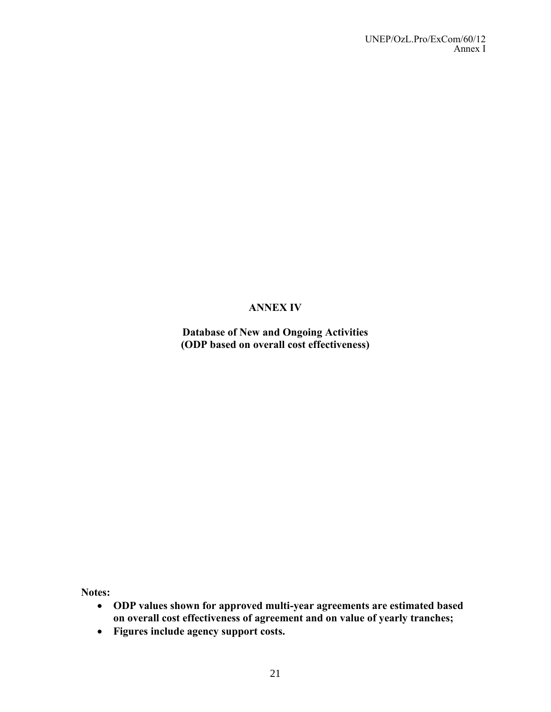# **ANNEX IV**

**Database of New and Ongoing Activities (ODP based on overall cost effectiveness)**

**Notes:**

- **ODP values shown for approved multi-year agreements are estimated based on overall cost effectiveness of agreement and on value of yearly tranches;**
- **Figures include agency support costs.**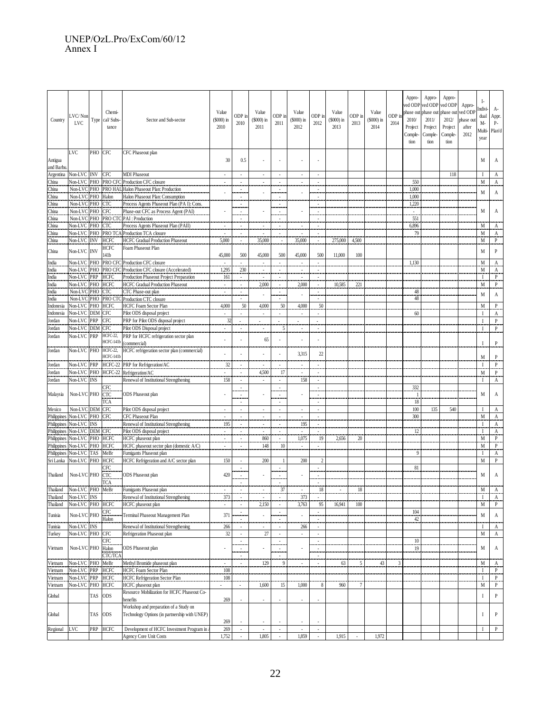#### UNEP/OzL.Pro/ExCom/60/12 Annex I

| Country              | LVC/Non<br><b>LVC</b>                       | Type    | Chemi-<br>cal/ Subs-<br>tance          | Sector and Sub-sector                                                              |                                 | ODP in<br>2010                                          | Value<br>$(S000)$ in<br>2011      | ODP in<br>2011                             | Value<br>$(S000)$ in<br>2012      | ODP in<br>2012                                          | Value<br>(\$000) in<br>2013 | ODP in<br>2013 | Value<br>$($000)$ in<br>2014 | ODP i<br>2014 | Appro-<br>ved ODP<br>phase ou<br>2010/<br>Project<br>Comple-<br>tion | Appro-<br>ved ODP<br>phase out<br>2011/<br>Project<br>Comple-<br>tion | Appro-<br>ved ODP<br>phase out<br>2012/<br>Project<br>Comple-<br>tion | Appro-<br>ved ODP<br>phase out<br>after<br>2012 | Ŀ<br>Indivi-<br>dual<br>M-<br>Multi-<br>year | A-<br>Appr.<br>P-<br>Plan'd |
|----------------------|---------------------------------------------|---------|----------------------------------------|------------------------------------------------------------------------------------|---------------------------------|---------------------------------------------------------|-----------------------------------|--------------------------------------------|-----------------------------------|---------------------------------------------------------|-----------------------------|----------------|------------------------------|---------------|----------------------------------------------------------------------|-----------------------------------------------------------------------|-----------------------------------------------------------------------|-------------------------------------------------|----------------------------------------------|-----------------------------|
| Antigua<br>and Barbu | LVC                                         | PHO CFC |                                        | CFC Phaseout plan                                                                  | 30                              | 0.5                                                     |                                   | $\overline{a}$                             |                                   |                                                         |                             |                |                              |               |                                                                      |                                                                       |                                                                       |                                                 | M                                            | А                           |
| Argentina            | Non-LVC INV CFC                             |         |                                        | <b>MDI Phaseout</b>                                                                | $\mathcal{L}$                   | $\mathcal{L}$                                           | $\overline{\phantom{a}}$          | $\mathcal{L}$                              | $\sim$                            | $\sim$                                                  |                             |                |                              |               |                                                                      |                                                                       | 118                                                                   |                                                 | $\mathbf I$                                  | A                           |
| China                |                                             |         | Non-LVC PHO PRO CFC                    | Production CFC closure                                                             | $\overline{\phantom{a}}$        | $\overline{\phantom{a}}$                                | $\overline{\phantom{a}}$          | $\overline{\phantom{a}}$                   | $\overline{\phantom{a}}$          | $\overline{\phantom{a}}$                                |                             |                |                              |               | 550                                                                  |                                                                       |                                                                       |                                                 | M                                            | А                           |
| China                |                                             |         |                                        | Non-LVC PHO PRO HAL Halon Phaseout Plan: Production                                |                                 |                                                         |                                   | $\overline{\phantom{a}}$                   |                                   | $\overline{\phantom{a}}$                                |                             |                |                              |               | 1.000                                                                |                                                                       |                                                                       |                                                 | M                                            | A                           |
| China                | Non-LVC PHO Halon                           |         |                                        | Halon Phaseout Plan: Consumption                                                   |                                 |                                                         |                                   | $\overline{\phantom{a}}$                   |                                   | $\overline{\phantom{a}}$                                |                             |                |                              |               | 1,000                                                                |                                                                       |                                                                       |                                                 |                                              |                             |
| China<br>China       | Non-LVC PHO CTC<br>Non-LVC PHO CFC          |         |                                        | Process Agents Phaseout Plan (PA I): Cons.<br>Phase-out CFC as Process Agent (PAI) |                                 | $\sim$                                                  |                                   | $\overline{\phantom{a}}$<br>$\sim$         |                                   | $\sim$<br>$\sim$                                        |                             |                |                              |               | 1,220<br>$\sim$                                                      |                                                                       |                                                                       |                                                 | M                                            | A                           |
| China                |                                             |         |                                        | Non-LVC PHO PRO CTC PAI : Production                                               |                                 |                                                         |                                   |                                            |                                   |                                                         |                             |                |                              |               | 551                                                                  |                                                                       |                                                                       |                                                 |                                              |                             |
| China                | Non-LVC                                     | PHO CTC |                                        | Process Agents Phaseout Plan (PAII)                                                | $\sim$                          | $\overline{\phantom{a}}$                                | $\overline{\phantom{a}}$          | $\sim$                                     |                                   | $\overline{\phantom{a}}$                                |                             |                |                              |               | 6,896                                                                |                                                                       |                                                                       |                                                 | M                                            | А                           |
| China                |                                             |         |                                        | Non-LVC PHO PRO TCA Production TCA closure                                         | $\overline{\phantom{a}}$        | $\overline{\phantom{a}}$                                | $\overline{\phantom{a}}$          | $\overline{\phantom{a}}$                   |                                   | $\overline{\phantom{a}}$                                |                             |                |                              |               | 79                                                                   |                                                                       |                                                                       |                                                 | M                                            | А                           |
| China                | Non-LVC INV                                 |         | <b>HCFC</b>                            | <b>HCFC Gradual Production Phaseout</b>                                            | 5,000                           |                                                         | 35,000                            | $\overline{\phantom{a}}$                   | 35,000                            |                                                         | 275,000                     | 4,500          |                              |               |                                                                      |                                                                       |                                                                       |                                                 | M                                            | $\mathbf{P}$                |
| China                | Non-LVC INV                                 |         | <b>HCFC</b>                            | Foam Phaseout Plan                                                                 |                                 |                                                         |                                   |                                            |                                   |                                                         |                             |                |                              |               |                                                                      |                                                                       |                                                                       |                                                 | M                                            | $\mathbf{P}$                |
|                      |                                             |         | 141 <b>b</b><br>PRO CFC                | Production CFC closure                                                             | 45,000<br>$\sim$                | 500<br>$\mathcal{L}$                                    | 45,000<br>$\mathcal{L}$           | 500<br>$\mathcal{L}$                       | 45,000<br>$\sim$                  | 500<br>$\sim$                                           | 11,000                      | 100            |                              |               |                                                                      |                                                                       |                                                                       |                                                 |                                              |                             |
| India<br>India       | Non-LVC PHO<br>Non-LVC                      | PHO     | PRO CFC                                | Production CFC closure (Accelerated)                                               | 1,295                           | 230                                                     | $\overline{\phantom{a}}$          | $\overline{\phantom{a}}$                   |                                   | ÷                                                       |                             |                |                              |               | 1,130                                                                |                                                                       |                                                                       |                                                 | M<br>M                                       | A<br>А                      |
| India                | Non-LVC                                     | PRP     | <b>HCFC</b>                            | Production Phaseout Project Preparation                                            | 161                             | $\sim$                                                  | ٠                                 | $\sim$                                     |                                   | $\overline{\phantom{a}}$                                |                             |                |                              |               |                                                                      |                                                                       |                                                                       |                                                 | $\mathbf{I}$                                 | P                           |
| India                | Non-LVC PHO HCFC                            |         |                                        | <b>HCFC Gradual Production Phaseout</b>                                            | $\overline{\phantom{a}}$        | $\overline{\phantom{a}}$                                | 2,000                             | $\overline{\phantom{a}}$                   | 2,000                             | $\overline{\phantom{a}}$                                | 10,585                      | 221            |                              |               |                                                                      |                                                                       |                                                                       |                                                 | M                                            | $\mathbf{P}$                |
| India                | Non-LVC PHO CTC                             |         |                                        | CTC Phase-out plan                                                                 | $\overline{\phantom{a}}$        | $\overline{\phantom{a}}$                                |                                   | $\overline{\phantom{a}}$                   |                                   | $\overline{\phantom{a}}$                                |                             |                |                              |               | 48                                                                   |                                                                       |                                                                       |                                                 | M                                            | A                           |
| India                |                                             |         |                                        | Non-LVC PHO PRO CTC Production CTC closure                                         |                                 | $\sim$                                                  |                                   | $\mathbb{Z}^+$                             |                                   | $\sim$                                                  |                             |                |                              |               | 48                                                                   |                                                                       |                                                                       |                                                 |                                              |                             |
| Indonesia            | Non-LVC PHO HCFC                            |         |                                        | HCFC Foam Sector Plan                                                              | 4,000                           | 50                                                      | 4,000                             | 50                                         | 4,000                             | 50                                                      |                             |                |                              |               |                                                                      |                                                                       |                                                                       |                                                 | M                                            | $\mathbf{P}$                |
| Indonesia<br>Jordan  | Non-LVC DEM CFC<br>Non-LVC                  | PRP     | <b>CFC</b>                             | Pilot ODS disposal project<br>PRP for Pilot ODS disposal project                   | $\overline{a}$<br>32            |                                                         | $\overline{\phantom{a}}$          | $\overline{a}$                             | $\sim$                            | ÷,<br>$\overline{a}$                                    |                             |                |                              |               | 60                                                                   |                                                                       |                                                                       |                                                 | $\mathbf I$<br>$\mathbf{I}$                  | А<br>$\, {\bf P}$           |
| Jordan               | Non-LVC                                     | DEM CFC |                                        | Pilot ODS Disposal project                                                         | ٠                               | $\overline{\phantom{a}}$                                | ٠                                 | 5                                          | $\sim$                            | $\overline{\phantom{a}}$                                |                             |                |                              |               |                                                                      |                                                                       |                                                                       |                                                 | $\mathbf I$                                  | $\mathbf{P}$                |
| Jordan               | Non-LVC                                     | PRP     | HCFC-22,<br>HCFC-141b                  | PRP for HCFC refrigeration sector plan<br>commercial)                              | $\overline{a}$                  |                                                         | 65                                | $\overline{a}$                             | ٠                                 | ÷,                                                      |                             |                |                              |               |                                                                      |                                                                       |                                                                       |                                                 | $\mathbf{I}$                                 | P                           |
| Jordan               | Non-LVC PHO                                 |         | HCFC-22,<br>HCFC-141b                  | HCFC refrigeration sector plan (commercial)                                        |                                 |                                                         |                                   | ÷,                                         | 3,315                             | 22                                                      |                             |                |                              |               |                                                                      |                                                                       |                                                                       |                                                 | M                                            | P                           |
| Jordan               | Non-LVC PRP                                 |         | HCFC-22                                | PRP for Refrigeration/AC                                                           | 32                              |                                                         |                                   | $\overline{\phantom{a}}$                   |                                   | ٠                                                       |                             |                |                              |               |                                                                      |                                                                       |                                                                       |                                                 | $\mathbf{I}$                                 | P                           |
| Jordan               |                                             |         | Non-LVC PHO HCFC-22                    | Refrigeration/AC                                                                   |                                 |                                                         | 4,500                             | 17                                         |                                   | $\overline{a}$                                          |                             |                |                              |               |                                                                      |                                                                       |                                                                       |                                                 | M                                            | P                           |
| Jordan               | Non-LVC INS                                 |         |                                        | Renewal of Institutional Strengthening                                             | 158                             | $\overline{\phantom{a}}$                                | $\overline{\phantom{a}}$          | $\overline{\phantom{a}}$                   | 158                               | $\overline{\phantom{a}}$                                |                             |                |                              |               |                                                                      |                                                                       |                                                                       |                                                 | $\mathbf I$                                  | А                           |
| Malaysia             | Non-LVC PHO                                 |         | <b>CFC</b><br><b>CTC</b><br><b>TCA</b> | <b>ODS</b> Phaseout plan                                                           |                                 | $\overline{\phantom{a}}$                                |                                   | $\overline{\phantom{a}}$<br>$\sim$<br>÷    |                                   | ÷,<br>$\sim$                                            |                             |                |                              |               | 332<br>- 1<br>18                                                     |                                                                       |                                                                       |                                                 | M                                            | A                           |
| Mexico               | Non-LVC DEM CFC                             |         |                                        | Pilot ODS disposal project                                                         | ÷                               | $\mathcal{L}$                                           | ٠                                 | $\mathcal{L}$                              | ÷                                 | $\sim$                                                  |                             |                |                              |               | 100                                                                  | 135                                                                   | 540                                                                   |                                                 | $\mathbf{I}$                                 | А                           |
| Philippines          | Non-LVC PHO CFC                             |         |                                        | CFC Phaseout Plan                                                                  | $\overline{\phantom{a}}$        | $\overline{\phantom{a}}$                                | $\overline{\phantom{a}}$          | $\overline{\phantom{a}}$                   | $\overline{\phantom{a}}$          | $\overline{\phantom{a}}$                                |                             |                |                              |               | 300                                                                  |                                                                       |                                                                       |                                                 | M                                            | A                           |
|                      | Philippines Non-LVC INS                     |         |                                        | Renewal of Institutional Strengthening                                             | 195                             |                                                         | $\overline{\phantom{a}}$          | $\overline{\phantom{a}}$                   | 195                               | $\overline{\phantom{a}}$                                |                             |                |                              |               |                                                                      |                                                                       |                                                                       |                                                 | $\mathbf I$                                  | A                           |
|                      | Philippines Non-LVC DEM CFC                 |         |                                        | Pilot ODS disposal project                                                         | $\overline{\phantom{a}}$        |                                                         |                                   |                                            |                                   |                                                         |                             |                |                              |               | 12                                                                   |                                                                       |                                                                       |                                                 | $\mathbf I$                                  | A                           |
|                      | Philippines Non-LVC PHO HCFC                |         |                                        | HCFC phaseout plan                                                                 |                                 |                                                         | 860                               | $\overline{a}$                             | 1.075                             | 19                                                      | 2.656                       | 20             |                              |               |                                                                      |                                                                       |                                                                       |                                                 | M                                            | P                           |
| Philippines          | Philippines Non-LVC PHO HCFC<br>Non-LVC TAS |         | MeBr                                   | HCFC phaseout sector plan (domestic A/C)<br>Fumigants Phaseout plan                | $\overline{\phantom{a}}$        | $\overline{\phantom{a}}$                                | 148                               | 10                                         | $\sim$                            | ٠                                                       |                             |                |                              |               | 9                                                                    |                                                                       |                                                                       |                                                 | M<br>$\mathbf I$                             | P                           |
| Sri Lanka            | Non-LVC PHO                                 |         | <b>HCFC</b>                            | HCFC Refrigeration and A/C sector plan                                             | 150                             | $\overline{\phantom{a}}$                                | 200                               | $\overline{1}$                             | 200                               | $\overline{2}$                                          |                             |                |                              |               |                                                                      |                                                                       |                                                                       |                                                 | M                                            | А<br>P                      |
|                      |                                             |         | <b>CFC</b>                             |                                                                                    |                                 | $\overline{\phantom{a}}$                                |                                   | $\overline{\phantom{a}}$                   |                                   | $\overline{\phantom{a}}$                                |                             |                |                              |               | 81                                                                   |                                                                       |                                                                       |                                                 |                                              |                             |
| Thailand             | Non-LVC PHO CTC                             |         |                                        | <b>ODS</b> Phaseout plan                                                           | 420                             | $\overline{\phantom{a}}$                                |                                   | $\overline{\phantom{a}}$                   |                                   | ÷                                                       |                             |                |                              |               |                                                                      |                                                                       |                                                                       |                                                 | M                                            | A                           |
|                      |                                             |         | <b>TCA</b>                             |                                                                                    |                                 |                                                         |                                   |                                            |                                   |                                                         |                             |                |                              |               |                                                                      |                                                                       |                                                                       |                                                 |                                              |                             |
| Thailand             | Non-LVC PHO MeBr                            |         |                                        | Fumigants Phaseout plan                                                            | $\overline{\phantom{a}}$        |                                                         |                                   | 37                                         |                                   | 18                                                      |                             | 18             |                              |               |                                                                      |                                                                       |                                                                       |                                                 | M                                            | А                           |
| Thailand<br>Thailand | Non-LVC INS<br>Non-LVC PHO HCFC             |         |                                        | Renewal of Institutional Strengthening<br><b>HCFC</b> phaseout plan                | 373<br>$\overline{\phantom{a}}$ | $\overline{\phantom{a}}$<br>$\overline{\phantom{a}}$    | $\overline{\phantom{a}}$<br>2,150 | $\sim$<br>$\overline{\phantom{a}}$         | 373<br>3,763                      | $\overline{a}$<br>95                                    | 16,941                      | 100            |                              |               |                                                                      |                                                                       |                                                                       |                                                 | -1<br>M                                      | A<br>$\, {\bf P}$           |
| Tunisia              | Non-LVC PHO                                 |         | <b>CFC</b><br>Halon                    | Terminal Phaseout Management Plan                                                  | 371                             | $\mathcal{L}$<br>$\overline{\phantom{a}}$               |                                   | $\mathbb{Z}^+$<br>$\overline{\phantom{a}}$ |                                   | $\mathcal{L}$<br>$\overline{\phantom{a}}$               |                             |                |                              |               | 104<br>42                                                            |                                                                       |                                                                       |                                                 | M                                            | A                           |
| Tunisia              | Non-LVC INS                                 |         |                                        | Renewal of Institutional Strengthening                                             | 266                             | $\overline{\phantom{a}}$                                |                                   | $\overline{\phantom{a}}$                   | 266                               | $\overline{\phantom{a}}$                                |                             |                |                              |               |                                                                      |                                                                       |                                                                       |                                                 | $\mathbf I$                                  | A                           |
| Turkey               | Non-LVC PHO CFC                             |         |                                        | Refrigeration Phaseout plan                                                        | 32                              | $\overline{\phantom{a}}$                                | $27\,$                            | ÷.                                         | $\overline{\phantom{a}}$          | $\overline{a}$                                          |                             |                |                              |               |                                                                      |                                                                       |                                                                       |                                                 | M                                            | $\,$ A                      |
| Vietnam              | Non-LVC PHO Halon                           |         | CFC                                    | <b>ODS</b> Phaseout plan                                                           | ÷,                              | $\overline{\phantom{a}}$<br>$\overline{\phantom{a}}$    |                                   | $\mathbb{Z}^+$<br>$\overline{\phantom{a}}$ |                                   | $\sim$<br>$\overline{\phantom{a}}$                      |                             |                |                              |               | $10\,$<br>19                                                         |                                                                       |                                                                       |                                                 | M                                            | A                           |
| Vietnam              | Non-LVC PHO MeBr                            |         | CTC/TCA                                | Methyl Bromide phaseout plan                                                       | $\sim$                          | $\overline{\phantom{a}}$<br>$\overline{\phantom{a}}$    | 129                               | $\overline{\phantom{a}}$<br>9              |                                   | $\overline{\phantom{a}}$<br>$\sim$                      | 63                          | 5              | 43                           | 3             |                                                                      |                                                                       |                                                                       |                                                 | M                                            | A                           |
| Vietnam              | Non-LVC PRP                                 |         | HCFC                                   | <b>HCFC Foam Sector Plan</b>                                                       | 108                             |                                                         |                                   |                                            |                                   |                                                         |                             |                |                              |               |                                                                      |                                                                       |                                                                       |                                                 | $\mathbf I$                                  | $\mathbf{P}$                |
| Vietnam              | Non-LVC PRP HCFC                            |         |                                        | <b>HCFC Refrigeration Sector Plan</b>                                              | 108                             |                                                         |                                   |                                            |                                   |                                                         |                             |                |                              |               |                                                                      |                                                                       |                                                                       |                                                 | $\mathbf I$                                  | P                           |
| Vietnam              | Non-LVC PHO HCFC                            |         |                                        | HCFC phaseout plan                                                                 |                                 |                                                         | 1,600                             | 15                                         | 1,000                             | 8                                                       | 960                         | $\tau$         |                              |               |                                                                      |                                                                       |                                                                       |                                                 | M                                            | $\mathbf{P}$                |
| Global               |                                             | TAS     | <b>ODS</b>                             | Resource Mobilization for HCFC Phaseout Co-                                        |                                 |                                                         |                                   |                                            |                                   |                                                         |                             |                |                              |               |                                                                      |                                                                       |                                                                       |                                                 | $\mathbf I$                                  | $\, {\bf P}$                |
|                      |                                             |         |                                        | penefits<br>Workshop and preparation of a Study on                                 | 269                             |                                                         | ٠                                 | $\overline{a}$                             | $\overline{\phantom{a}}$          |                                                         |                             |                |                              |               |                                                                      |                                                                       |                                                                       |                                                 |                                              |                             |
| Global               |                                             | TAS     | <b>ODS</b>                             | Technology Options (in partnership with UNEP)                                      | 269                             |                                                         | ÷                                 |                                            |                                   |                                                         |                             |                |                              |               |                                                                      |                                                                       |                                                                       |                                                 | Ι                                            | P                           |
| Regional             | LVC                                         |         | PRP HCFC                               | Development of HCFC Investment Program in<br><b>Agency Core Unit Costs</b>         | 269<br>1,752                    | $\overline{\phantom{a}}$<br>$\mathcal{L}_{\mathcal{A}}$ | $\sim$<br>1,805                   | $\overline{\phantom{a}}$<br>$\mathbb{Z}^2$ | $\overline{\phantom{a}}$<br>1,859 | $\overline{\phantom{a}}$<br>$\mathcal{L}_{\mathcal{A}}$ | 1,915                       | ÷,             | 1,972                        |               |                                                                      |                                                                       |                                                                       |                                                 | $\mathbf I$                                  | $\, {\bf p}$                |
|                      |                                             |         |                                        |                                                                                    |                                 |                                                         |                                   |                                            |                                   |                                                         |                             |                |                              |               |                                                                      |                                                                       |                                                                       |                                                 |                                              |                             |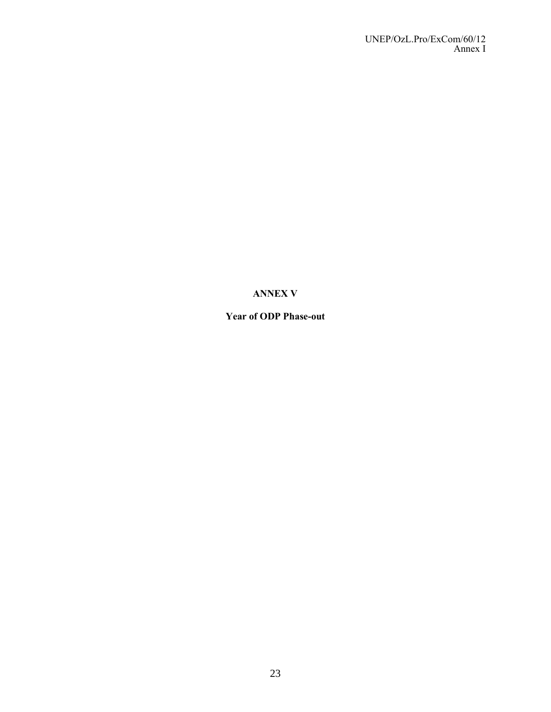# **ANNEX V**

# **Year of ODP Phase-out**